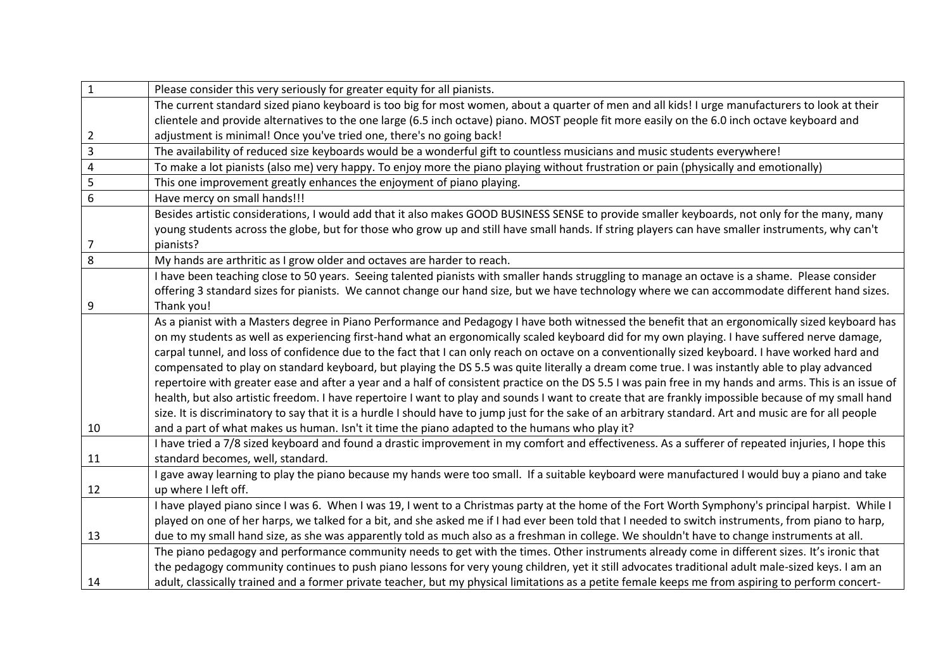| $\mathbf{1}$            | Please consider this very seriously for greater equity for all pianists.                                                                                 |
|-------------------------|----------------------------------------------------------------------------------------------------------------------------------------------------------|
|                         | The current standard sized piano keyboard is too big for most women, about a quarter of men and all kids! I urge manufacturers to look at their          |
|                         | clientele and provide alternatives to the one large (6.5 inch octave) piano. MOST people fit more easily on the 6.0 inch octave keyboard and             |
| $\overline{2}$          | adjustment is minimal! Once you've tried one, there's no going back!                                                                                     |
| $\overline{\mathbf{3}}$ | The availability of reduced size keyboards would be a wonderful gift to countless musicians and music students everywhere!                               |
| $\pmb{4}$               | To make a lot pianists (also me) very happy. To enjoy more the piano playing without frustration or pain (physically and emotionally)                    |
| 5                       | This one improvement greatly enhances the enjoyment of piano playing.                                                                                    |
| 6                       | Have mercy on small hands!!!                                                                                                                             |
|                         | Besides artistic considerations, I would add that it also makes GOOD BUSINESS SENSE to provide smaller keyboards, not only for the many, many            |
|                         | young students across the globe, but for those who grow up and still have small hands. If string players can have smaller instruments, why can't         |
| $\overline{7}$          | pianists?                                                                                                                                                |
| 8                       | My hands are arthritic as I grow older and octaves are harder to reach.                                                                                  |
|                         | I have been teaching close to 50 years. Seeing talented pianists with smaller hands struggling to manage an octave is a shame. Please consider           |
|                         | offering 3 standard sizes for pianists. We cannot change our hand size, but we have technology where we can accommodate different hand sizes.            |
| 9                       | Thank you!                                                                                                                                               |
|                         | As a pianist with a Masters degree in Piano Performance and Pedagogy I have both witnessed the benefit that an ergonomically sized keyboard has          |
|                         | on my students as well as experiencing first-hand what an ergonomically scaled keyboard did for my own playing. I have suffered nerve damage,            |
|                         | carpal tunnel, and loss of confidence due to the fact that I can only reach on octave on a conventionally sized keyboard. I have worked hard and         |
|                         | compensated to play on standard keyboard, but playing the DS 5.5 was quite literally a dream come true. I was instantly able to play advanced            |
|                         | repertoire with greater ease and after a year and a half of consistent practice on the DS 5.51 was pain free in my hands and arms. This is an issue of   |
|                         | health, but also artistic freedom. I have repertoire I want to play and sounds I want to create that are frankly impossible because of my small hand     |
|                         | size. It is discriminatory to say that it is a hurdle I should have to jump just for the sake of an arbitrary standard. Art and music are for all people |
| 10                      | and a part of what makes us human. Isn't it time the piano adapted to the humans who play it?                                                            |
|                         | I have tried a 7/8 sized keyboard and found a drastic improvement in my comfort and effectiveness. As a sufferer of repeated injuries, I hope this       |
| 11                      | standard becomes, well, standard.                                                                                                                        |
|                         | I gave away learning to play the piano because my hands were too small. If a suitable keyboard were manufactured I would buy a piano and take            |
| 12                      | up where I left off.                                                                                                                                     |
|                         | I have played piano since I was 6. When I was 19, I went to a Christmas party at the home of the Fort Worth Symphony's principal harpist. While I        |
|                         | played on one of her harps, we talked for a bit, and she asked me if I had ever been told that I needed to switch instruments, from piano to harp,       |
| 13                      | due to my small hand size, as she was apparently told as much also as a freshman in college. We shouldn't have to change instruments at all.             |
|                         | The piano pedagogy and performance community needs to get with the times. Other instruments already come in different sizes. It's ironic that            |
|                         | the pedagogy community continues to push piano lessons for very young children, yet it still advocates traditional adult male-sized keys. I am an        |
| 14                      | adult, classically trained and a former private teacher, but my physical limitations as a petite female keeps me from aspiring to perform concert-       |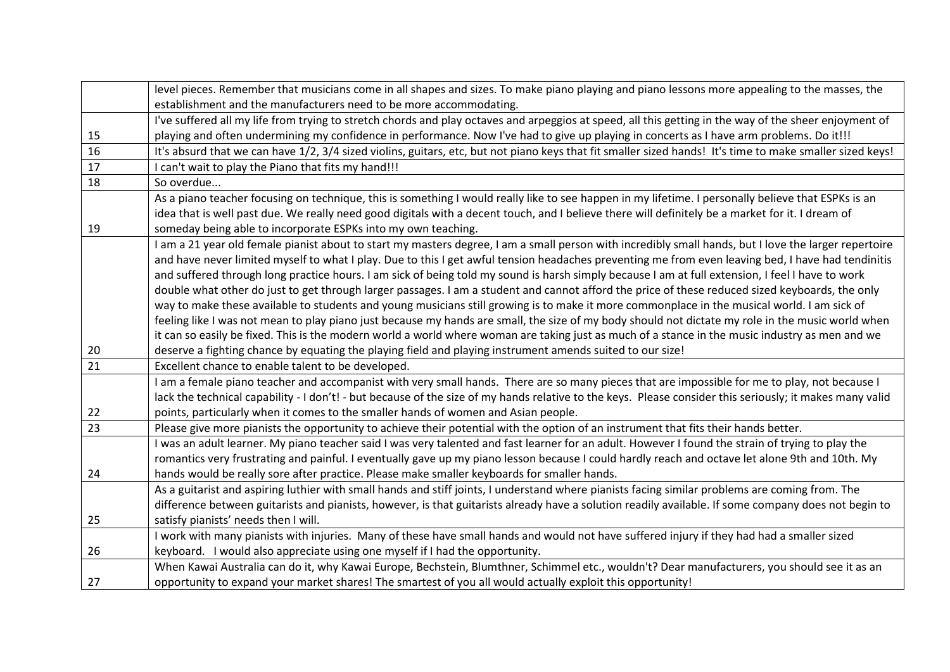|                 | level pieces. Remember that musicians come in all shapes and sizes. To make piano playing and piano lessons more appealing to the masses, the             |
|-----------------|-----------------------------------------------------------------------------------------------------------------------------------------------------------|
|                 | establishment and the manufacturers need to be more accommodating.                                                                                        |
|                 | I've suffered all my life from trying to stretch chords and play octaves and arpeggios at speed, all this getting in the way of the sheer enjoyment of    |
| 15              | playing and often undermining my confidence in performance. Now I've had to give up playing in concerts as I have arm problems. Do it!!!                  |
| 16              | It's absurd that we can have 1/2, 3/4 sized violins, guitars, etc, but not piano keys that fit smaller sized hands! It's time to make smaller sized keys! |
| $\overline{17}$ | I can't wait to play the Piano that fits my hand!!!                                                                                                       |
| 18              | So overdue                                                                                                                                                |
|                 | As a piano teacher focusing on technique, this is something I would really like to see happen in my lifetime. I personally believe that ESPKs is an       |
|                 | idea that is well past due. We really need good digitals with a decent touch, and I believe there will definitely be a market for it. I dream of          |
| 19              | someday being able to incorporate ESPKs into my own teaching.                                                                                             |
|                 | I am a 21 year old female pianist about to start my masters degree, I am a small person with incredibly small hands, but I love the larger repertoire     |
|                 | and have never limited myself to what I play. Due to this I get awful tension headaches preventing me from even leaving bed, I have had tendinitis        |
|                 | and suffered through long practice hours. I am sick of being told my sound is harsh simply because I am at full extension, I feel I have to work          |
|                 | double what other do just to get through larger passages. I am a student and cannot afford the price of these reduced sized keyboards, the only           |
|                 | way to make these available to students and young musicians still growing is to make it more commonplace in the musical world. I am sick of               |
|                 | feeling like I was not mean to play piano just because my hands are small, the size of my body should not dictate my role in the music world when         |
|                 | it can so easily be fixed. This is the modern world a world where woman are taking just as much of a stance in the music industry as men and we           |
| 20              | deserve a fighting chance by equating the playing field and playing instrument amends suited to our size!                                                 |
| 21              | Excellent chance to enable talent to be developed.                                                                                                        |
|                 | I am a female piano teacher and accompanist with very small hands. There are so many pieces that are impossible for me to play, not because I             |
|                 | lack the technical capability - I don't! - but because of the size of my hands relative to the keys. Please consider this seriously; it makes many valid  |
| 22              | points, particularly when it comes to the smaller hands of women and Asian people.                                                                        |
| 23              | Please give more pianists the opportunity to achieve their potential with the option of an instrument that fits their hands better.                       |
|                 | I was an adult learner. My piano teacher said I was very talented and fast learner for an adult. However I found the strain of trying to play the         |
|                 | romantics very frustrating and painful. I eventually gave up my piano lesson because I could hardly reach and octave let alone 9th and 10th. My           |
| 24              | hands would be really sore after practice. Please make smaller keyboards for smaller hands.                                                               |
|                 | As a guitarist and aspiring luthier with small hands and stiff joints, I understand where pianists facing similar problems are coming from. The           |
|                 | difference between guitarists and pianists, however, is that guitarists already have a solution readily available. If some company does not begin to      |
| 25              | satisfy pianists' needs then I will.                                                                                                                      |
|                 | I work with many pianists with injuries. Many of these have small hands and would not have suffered injury if they had had a smaller sized                |
| 26              | keyboard. I would also appreciate using one myself if I had the opportunity.                                                                              |
|                 | When Kawai Australia can do it, why Kawai Europe, Bechstein, Blumthner, Schimmel etc., wouldn't? Dear manufacturers, you should see it as an              |
| 27              | opportunity to expand your market shares! The smartest of you all would actually exploit this opportunity!                                                |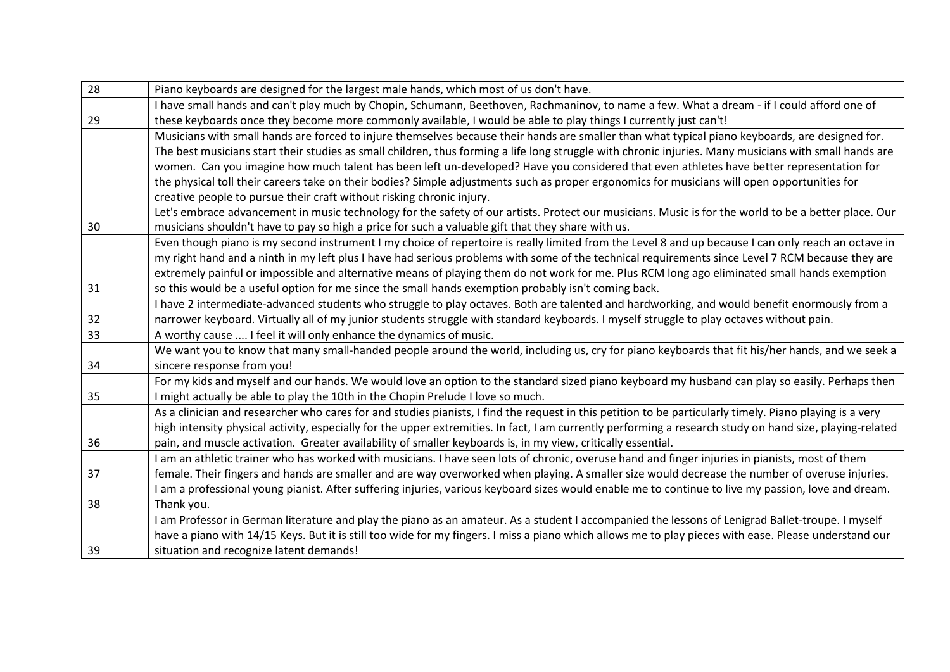| 28 | Piano keyboards are designed for the largest male hands, which most of us don't have.                                                                     |
|----|-----------------------------------------------------------------------------------------------------------------------------------------------------------|
|    | I have small hands and can't play much by Chopin, Schumann, Beethoven, Rachmaninov, to name a few. What a dream - if I could afford one of                |
| 29 | these keyboards once they become more commonly available, I would be able to play things I currently just can't!                                          |
|    | Musicians with small hands are forced to injure themselves because their hands are smaller than what typical piano keyboards, are designed for.           |
|    | The best musicians start their studies as small children, thus forming a life long struggle with chronic injuries. Many musicians with small hands are    |
|    | women. Can you imagine how much talent has been left un-developed? Have you considered that even athletes have better representation for                  |
|    | the physical toll their careers take on their bodies? Simple adjustments such as proper ergonomics for musicians will open opportunities for              |
|    | creative people to pursue their craft without risking chronic injury.                                                                                     |
|    | Let's embrace advancement in music technology for the safety of our artists. Protect our musicians. Music is for the world to be a better place. Our      |
| 30 | musicians shouldn't have to pay so high a price for such a valuable gift that they share with us.                                                         |
|    | Even though piano is my second instrument I my choice of repertoire is really limited from the Level 8 and up because I can only reach an octave in       |
|    | my right hand and a ninth in my left plus I have had serious problems with some of the technical requirements since Level 7 RCM because they are          |
|    | extremely painful or impossible and alternative means of playing them do not work for me. Plus RCM long ago eliminated small hands exemption              |
| 31 | so this would be a useful option for me since the small hands exemption probably isn't coming back.                                                       |
|    | I have 2 intermediate-advanced students who struggle to play octaves. Both are talented and hardworking, and would benefit enormously from a              |
| 32 | narrower keyboard. Virtually all of my junior students struggle with standard keyboards. I myself struggle to play octaves without pain.                  |
| 33 | A worthy cause  I feel it will only enhance the dynamics of music.                                                                                        |
|    | We want you to know that many small-handed people around the world, including us, cry for piano keyboards that fit his/her hands, and we seek a           |
| 34 | sincere response from you!                                                                                                                                |
|    | For my kids and myself and our hands. We would love an option to the standard sized piano keyboard my husband can play so easily. Perhaps then            |
| 35 | I might actually be able to play the 10th in the Chopin Prelude I love so much.                                                                           |
|    | As a clinician and researcher who cares for and studies pianists, I find the request in this petition to be particularly timely. Piano playing is a very  |
|    | high intensity physical activity, especially for the upper extremities. In fact, I am currently performing a research study on hand size, playing-related |
| 36 | pain, and muscle activation. Greater availability of smaller keyboards is, in my view, critically essential.                                              |
|    | I am an athletic trainer who has worked with musicians. I have seen lots of chronic, overuse hand and finger injuries in pianists, most of them           |
| 37 | female. Their fingers and hands are smaller and are way overworked when playing. A smaller size would decrease the number of overuse injuries.            |
|    | I am a professional young pianist. After suffering injuries, various keyboard sizes would enable me to continue to live my passion, love and dream.       |
| 38 | Thank you.                                                                                                                                                |
|    | I am Professor in German literature and play the piano as an amateur. As a student I accompanied the lessons of Lenigrad Ballet-troupe. I myself          |
|    | have a piano with 14/15 Keys. But it is still too wide for my fingers. I miss a piano which allows me to play pieces with ease. Please understand our     |
| 39 | situation and recognize latent demands!                                                                                                                   |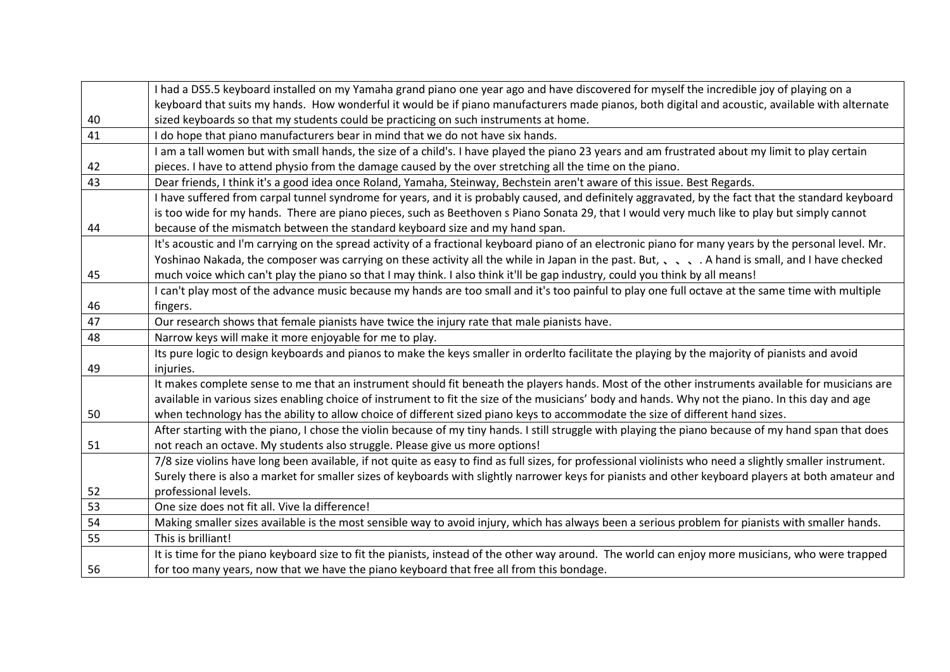|    | I had a DS5.5 keyboard installed on my Yamaha grand piano one year ago and have discovered for myself the incredible joy of playing on a                   |
|----|------------------------------------------------------------------------------------------------------------------------------------------------------------|
|    | keyboard that suits my hands. How wonderful it would be if piano manufacturers made pianos, both digital and acoustic, available with alternate            |
| 40 | sized keyboards so that my students could be practicing on such instruments at home.                                                                       |
| 41 | I do hope that piano manufacturers bear in mind that we do not have six hands.                                                                             |
|    | I am a tall women but with small hands, the size of a child's. I have played the piano 23 years and am frustrated about my limit to play certain           |
| 42 | pieces. I have to attend physio from the damage caused by the over stretching all the time on the piano.                                                   |
| 43 | Dear friends, I think it's a good idea once Roland, Yamaha, Steinway, Bechstein aren't aware of this issue. Best Regards.                                  |
|    | I have suffered from carpal tunnel syndrome for years, and it is probably caused, and definitely aggravated, by the fact that the standard keyboard        |
|    | is too wide for my hands. There are piano pieces, such as Beethoven s Piano Sonata 29, that I would very much like to play but simply cannot               |
| 44 | because of the mismatch between the standard keyboard size and my hand span.                                                                               |
|    | It's acoustic and I'm carrying on the spread activity of a fractional keyboard piano of an electronic piano for many years by the personal level. Mr.      |
|    | Yoshinao Nakada, the composer was carrying on these activity all the while in Japan in the past. But, A hand is small, and I have checked                  |
| 45 | much voice which can't play the piano so that I may think. I also think it'll be gap industry, could you think by all means!                               |
|    | I can't play most of the advance music because my hands are too small and it's too painful to play one full octave at the same time with multiple          |
| 46 | fingers.                                                                                                                                                   |
| 47 | Our research shows that female pianists have twice the injury rate that male pianists have.                                                                |
| 48 | Narrow keys will make it more enjoyable for me to play.                                                                                                    |
|    | Its pure logic to design keyboards and pianos to make the keys smaller in orderlto facilitate the playing by the majority of pianists and avoid            |
| 49 | injuries.                                                                                                                                                  |
|    | It makes complete sense to me that an instrument should fit beneath the players hands. Most of the other instruments available for musicians are           |
|    | available in various sizes enabling choice of instrument to fit the size of the musicians' body and hands. Why not the piano. In this day and age          |
| 50 | when technology has the ability to allow choice of different sized piano keys to accommodate the size of different hand sizes.                             |
|    | After starting with the piano, I chose the violin because of my tiny hands. I still struggle with playing the piano because of my hand span that does      |
| 51 | not reach an octave. My students also struggle. Please give us more options!                                                                               |
|    |                                                                                                                                                            |
|    | 7/8 size violins have long been available, if not quite as easy to find as full sizes, for professional violinists who need a slightly smaller instrument. |
|    | Surely there is also a market for smaller sizes of keyboards with slightly narrower keys for pianists and other keyboard players at both amateur and       |
| 52 | professional levels.                                                                                                                                       |
| 53 | One size does not fit all. Vive la difference!                                                                                                             |
| 54 | Making smaller sizes available is the most sensible way to avoid injury, which has always been a serious problem for pianists with smaller hands.          |
| 55 | This is brilliant!                                                                                                                                         |
|    | It is time for the piano keyboard size to fit the pianists, instead of the other way around. The world can enjoy more musicians, who were trapped          |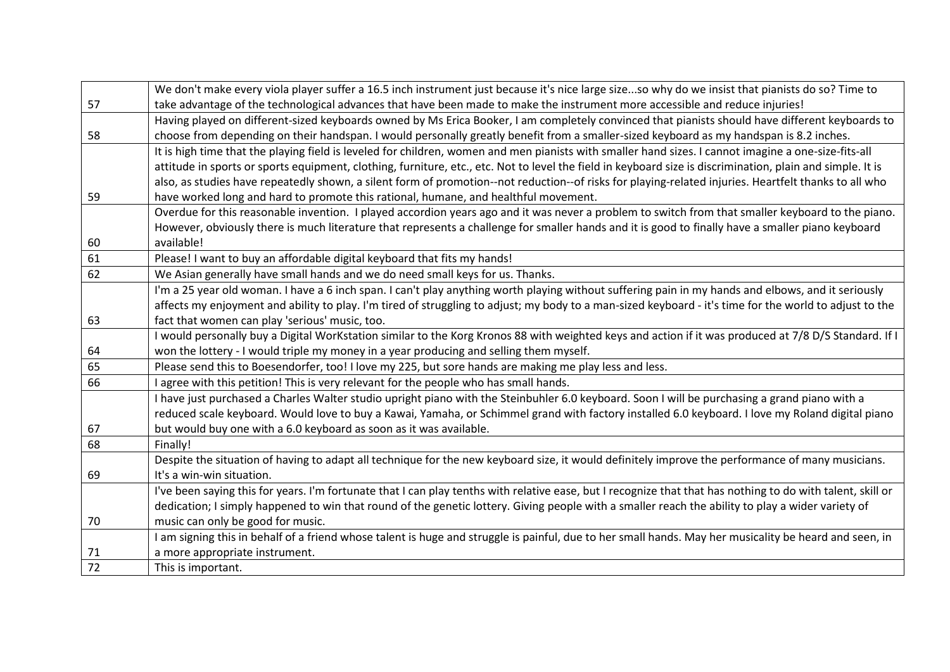|    | We don't make every viola player suffer a 16.5 inch instrument just because it's nice large sizeso why do we insist that pianists do so? Time to            |
|----|-------------------------------------------------------------------------------------------------------------------------------------------------------------|
| 57 | take advantage of the technological advances that have been made to make the instrument more accessible and reduce injuries!                                |
|    | Having played on different-sized keyboards owned by Ms Erica Booker, I am completely convinced that pianists should have different keyboards to             |
| 58 | choose from depending on their handspan. I would personally greatly benefit from a smaller-sized keyboard as my handspan is 8.2 inches.                     |
|    | It is high time that the playing field is leveled for children, women and men pianists with smaller hand sizes. I cannot imagine a one-size-fits-all        |
|    | attitude in sports or sports equipment, clothing, furniture, etc., etc. Not to level the field in keyboard size is discrimination, plain and simple. It is  |
|    | also, as studies have repeatedly shown, a silent form of promotion--not reduction--of risks for playing-related injuries. Heartfelt thanks to all who       |
| 59 | have worked long and hard to promote this rational, humane, and healthful movement.                                                                         |
|    | Overdue for this reasonable invention. I played accordion years ago and it was never a problem to switch from that smaller keyboard to the piano.           |
|    | However, obviously there is much literature that represents a challenge for smaller hands and it is good to finally have a smaller piano keyboard           |
| 60 | available!                                                                                                                                                  |
| 61 | Please! I want to buy an affordable digital keyboard that fits my hands!                                                                                    |
| 62 | We Asian generally have small hands and we do need small keys for us. Thanks.                                                                               |
|    | I'm a 25 year old woman. I have a 6 inch span. I can't play anything worth playing without suffering pain in my hands and elbows, and it seriously          |
|    | affects my enjoyment and ability to play. I'm tired of struggling to adjust; my body to a man-sized keyboard - it's time for the world to adjust to the     |
| 63 | fact that women can play 'serious' music, too.                                                                                                              |
|    | I would personally buy a Digital WorKstation similar to the Korg Kronos 88 with weighted keys and action if it was produced at 7/8 D/S Standard. If I       |
| 64 | won the lottery - I would triple my money in a year producing and selling them myself.                                                                      |
| 65 | Please send this to Boesendorfer, too! I love my 225, but sore hands are making me play less and less.                                                      |
| 66 | I agree with this petition! This is very relevant for the people who has small hands.                                                                       |
|    | I have just purchased a Charles Walter studio upright piano with the Steinbuhler 6.0 keyboard. Soon I will be purchasing a grand piano with a               |
|    | reduced scale keyboard. Would love to buy a Kawai, Yamaha, or Schimmel grand with factory installed 6.0 keyboard. I love my Roland digital piano            |
| 67 | but would buy one with a 6.0 keyboard as soon as it was available.                                                                                          |
| 68 | Finally!                                                                                                                                                    |
|    | Despite the situation of having to adapt all technique for the new keyboard size, it would definitely improve the performance of many musicians.            |
| 69 | It's a win-win situation.                                                                                                                                   |
|    | I've been saying this for years. I'm fortunate that I can play tenths with relative ease, but I recognize that that has nothing to do with talent, skill or |
|    | dedication; I simply happened to win that round of the genetic lottery. Giving people with a smaller reach the ability to play a wider variety of           |
| 70 | music can only be good for music.                                                                                                                           |
|    | I am signing this in behalf of a friend whose talent is huge and struggle is painful, due to her small hands. May her musicality be heard and seen, in      |
| 71 | a more appropriate instrument.                                                                                                                              |
| 72 | This is important.                                                                                                                                          |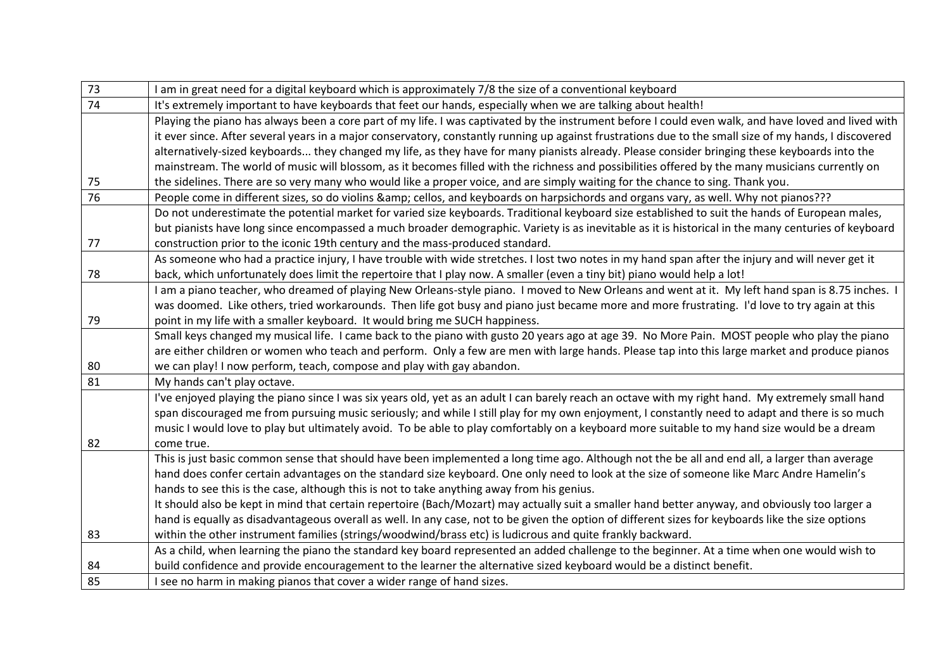| 73 | I am in great need for a digital keyboard which is approximately 7/8 the size of a conventional keyboard                                               |
|----|--------------------------------------------------------------------------------------------------------------------------------------------------------|
| 74 | It's extremely important to have keyboards that feet our hands, especially when we are talking about health!                                           |
|    | Playing the piano has always been a core part of my life. I was captivated by the instrument before I could even walk, and have loved and lived with   |
|    | it ever since. After several years in a major conservatory, constantly running up against frustrations due to the small size of my hands, I discovered |
|    | alternatively-sized keyboards they changed my life, as they have for many pianists already. Please consider bringing these keyboards into the          |
|    | mainstream. The world of music will blossom, as it becomes filled with the richness and possibilities offered by the many musicians currently on       |
| 75 | the sidelines. There are so very many who would like a proper voice, and are simply waiting for the chance to sing. Thank you.                         |
| 76 | People come in different sizes, so do violins & cellos, and keyboards on harpsichords and organs vary, as well. Why not pianos???                      |
|    | Do not underestimate the potential market for varied size keyboards. Traditional keyboard size established to suit the hands of European males,        |
|    | but pianists have long since encompassed a much broader demographic. Variety is as inevitable as it is historical in the many centuries of keyboard    |
| 77 | construction prior to the iconic 19th century and the mass-produced standard.                                                                          |
|    | As someone who had a practice injury, I have trouble with wide stretches. I lost two notes in my hand span after the injury and will never get it      |
| 78 | back, which unfortunately does limit the repertoire that I play now. A smaller (even a tiny bit) piano would help a lot!                               |
|    | I am a piano teacher, who dreamed of playing New Orleans-style piano. I moved to New Orleans and went at it. My left hand span is 8.75 inches. I       |
|    | was doomed. Like others, tried workarounds. Then life got busy and piano just became more and more frustrating. I'd love to try again at this          |
| 79 | point in my life with a smaller keyboard. It would bring me SUCH happiness.                                                                            |
|    | Small keys changed my musical life. I came back to the piano with gusto 20 years ago at age 39. No More Pain. MOST people who play the piano           |
|    | are either children or women who teach and perform. Only a few are men with large hands. Please tap into this large market and produce pianos          |
| 80 | we can play! I now perform, teach, compose and play with gay abandon.                                                                                  |
| 81 | My hands can't play octave.                                                                                                                            |
|    | I've enjoyed playing the piano since I was six years old, yet as an adult I can barely reach an octave with my right hand. My extremely small hand     |
|    | span discouraged me from pursuing music seriously; and while I still play for my own enjoyment, I constantly need to adapt and there is so much        |
|    | music I would love to play but ultimately avoid. To be able to play comfortably on a keyboard more suitable to my hand size would be a dream           |
| 82 | come true.                                                                                                                                             |
|    | This is just basic common sense that should have been implemented a long time ago. Although not the be all and end all, a larger than average          |
|    | hand does confer certain advantages on the standard size keyboard. One only need to look at the size of someone like Marc Andre Hamelin's              |
|    | hands to see this is the case, although this is not to take anything away from his genius.                                                             |
|    | It should also be kept in mind that certain repertoire (Bach/Mozart) may actually suit a smaller hand better anyway, and obviously too larger a        |
|    | hand is equally as disadvantageous overall as well. In any case, not to be given the option of different sizes for keyboards like the size options     |
| 83 | within the other instrument families (strings/woodwind/brass etc) is ludicrous and quite frankly backward.                                             |
|    | As a child, when learning the piano the standard key board represented an added challenge to the beginner. At a time when one would wish to            |
| 84 | build confidence and provide encouragement to the learner the alternative sized keyboard would be a distinct benefit.                                  |
| 85 | I see no harm in making pianos that cover a wider range of hand sizes.                                                                                 |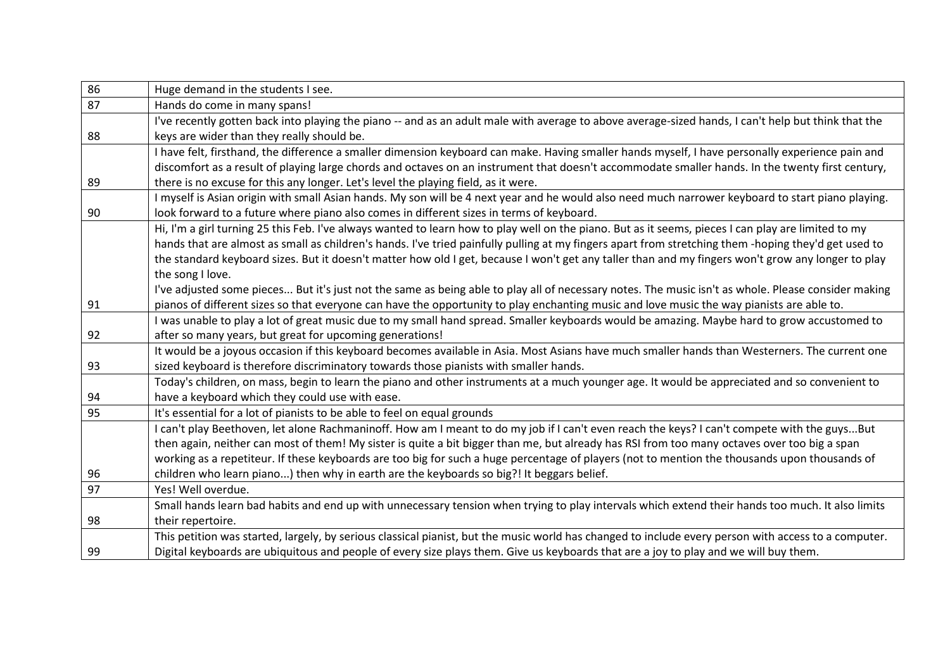| 86 | Huge demand in the students I see.                                                                                                                   |
|----|------------------------------------------------------------------------------------------------------------------------------------------------------|
| 87 | Hands do come in many spans!                                                                                                                         |
|    | I've recently gotten back into playing the piano -- and as an adult male with average to above average-sized hands, I can't help but think that the  |
| 88 | keys are wider than they really should be.                                                                                                           |
|    | I have felt, firsthand, the difference a smaller dimension keyboard can make. Having smaller hands myself, I have personally experience pain and     |
|    | discomfort as a result of playing large chords and octaves on an instrument that doesn't accommodate smaller hands. In the twenty first century,     |
| 89 | there is no excuse for this any longer. Let's level the playing field, as it were.                                                                   |
|    | I myself is Asian origin with small Asian hands. My son will be 4 next year and he would also need much narrower keyboard to start piano playing.    |
| 90 | look forward to a future where piano also comes in different sizes in terms of keyboard.                                                             |
|    | Hi, I'm a girl turning 25 this Feb. I've always wanted to learn how to play well on the piano. But as it seems, pieces I can play are limited to my  |
|    | hands that are almost as small as children's hands. I've tried painfully pulling at my fingers apart from stretching them -hoping they'd get used to |
|    | the standard keyboard sizes. But it doesn't matter how old I get, because I won't get any taller than and my fingers won't grow any longer to play   |
|    | the song I love.                                                                                                                                     |
|    | I've adjusted some pieces But it's just not the same as being able to play all of necessary notes. The music isn't as whole. Please consider making  |
| 91 | pianos of different sizes so that everyone can have the opportunity to play enchanting music and love music the way pianists are able to.            |
|    | I was unable to play a lot of great music due to my small hand spread. Smaller keyboards would be amazing. Maybe hard to grow accustomed to          |
| 92 | after so many years, but great for upcoming generations!                                                                                             |
|    | It would be a joyous occasion if this keyboard becomes available in Asia. Most Asians have much smaller hands than Westerners. The current one       |
| 93 | sized keyboard is therefore discriminatory towards those pianists with smaller hands.                                                                |
|    | Today's children, on mass, begin to learn the piano and other instruments at a much younger age. It would be appreciated and so convenient to        |
| 94 | have a keyboard which they could use with ease.                                                                                                      |
| 95 | It's essential for a lot of pianists to be able to feel on equal grounds                                                                             |
|    | I can't play Beethoven, let alone Rachmaninoff. How am I meant to do my job if I can't even reach the keys? I can't compete with the guysBut         |
|    | then again, neither can most of them! My sister is quite a bit bigger than me, but already has RSI from too many octaves over too big a span         |
|    | working as a repetiteur. If these keyboards are too big for such a huge percentage of players (not to mention the thousands upon thousands of        |
| 96 | children who learn piano) then why in earth are the keyboards so big?! It beggars belief.                                                            |
| 97 | Yes! Well overdue.                                                                                                                                   |
|    | Small hands learn bad habits and end up with unnecessary tension when trying to play intervals which extend their hands too much. It also limits     |
| 98 | their repertoire.                                                                                                                                    |
|    | This petition was started, largely, by serious classical pianist, but the music world has changed to include every person with access to a computer. |
| 99 | Digital keyboards are ubiquitous and people of every size plays them. Give us keyboards that are a joy to play and we will buy them.                 |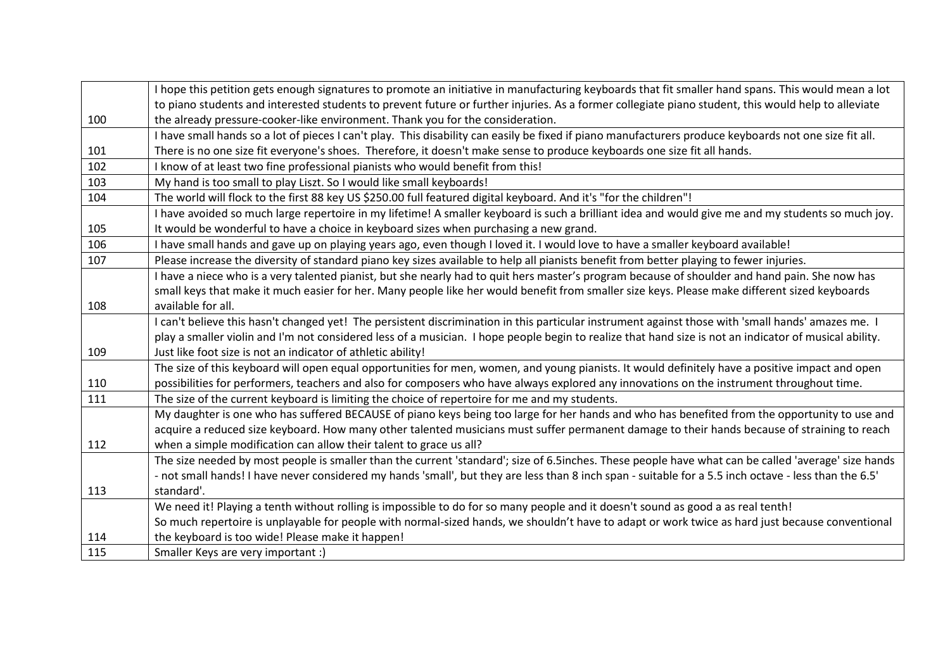|     | I hope this petition gets enough signatures to promote an initiative in manufacturing keyboards that fit smaller hand spans. This would mean a lot     |
|-----|--------------------------------------------------------------------------------------------------------------------------------------------------------|
|     | to piano students and interested students to prevent future or further injuries. As a former collegiate piano student, this would help to alleviate    |
| 100 | the already pressure-cooker-like environment. Thank you for the consideration.                                                                         |
|     | I have small hands so a lot of pieces I can't play. This disability can easily be fixed if piano manufacturers produce keyboards not one size fit all. |
| 101 | There is no one size fit everyone's shoes. Therefore, it doesn't make sense to produce keyboards one size fit all hands.                               |
| 102 | I know of at least two fine professional pianists who would benefit from this!                                                                         |
| 103 | My hand is too small to play Liszt. So I would like small keyboards!                                                                                   |
| 104 | The world will flock to the first 88 key US \$250.00 full featured digital keyboard. And it's "for the children"!                                      |
|     | I have avoided so much large repertoire in my lifetime! A smaller keyboard is such a brilliant idea and would give me and my students so much joy.     |
| 105 | It would be wonderful to have a choice in keyboard sizes when purchasing a new grand.                                                                  |
| 106 | I have small hands and gave up on playing years ago, even though I loved it. I would love to have a smaller keyboard available!                        |
| 107 | Please increase the diversity of standard piano key sizes available to help all pianists benefit from better playing to fewer injuries.                |
|     | I have a niece who is a very talented pianist, but she nearly had to quit hers master's program because of shoulder and hand pain. She now has         |
|     | small keys that make it much easier for her. Many people like her would benefit from smaller size keys. Please make different sized keyboards          |
| 108 | available for all.                                                                                                                                     |
|     | I can't believe this hasn't changed yet! The persistent discrimination in this particular instrument against those with 'small hands' amazes me. I     |
|     | play a smaller violin and I'm not considered less of a musician. I hope people begin to realize that hand size is not an indicator of musical ability. |
| 109 | Just like foot size is not an indicator of athletic ability!                                                                                           |
|     | The size of this keyboard will open equal opportunities for men, women, and young pianists. It would definitely have a positive impact and open        |
| 110 | possibilities for performers, teachers and also for composers who have always explored any innovations on the instrument throughout time.              |
| 111 | The size of the current keyboard is limiting the choice of repertoire for me and my students.                                                          |
|     | My daughter is one who has suffered BECAUSE of piano keys being too large for her hands and who has benefited from the opportunity to use and          |
|     | acquire a reduced size keyboard. How many other talented musicians must suffer permanent damage to their hands because of straining to reach           |
| 112 | when a simple modification can allow their talent to grace us all?                                                                                     |
|     | The size needed by most people is smaller than the current 'standard'; size of 6.5inches. These people have what can be called 'average' size hands    |
|     | - not small hands! I have never considered my hands 'small', but they are less than 8 inch span - suitable for a 5.5 inch octave - less than the 6.5'  |
| 113 | standard'.                                                                                                                                             |
|     | We need it! Playing a tenth without rolling is impossible to do for so many people and it doesn't sound as good a as real tenth!                       |
|     | So much repertoire is unplayable for people with normal-sized hands, we shouldn't have to adapt or work twice as hard just because conventional        |
| 114 | the keyboard is too wide! Please make it happen!                                                                                                       |
| 115 | Smaller Keys are very important :)                                                                                                                     |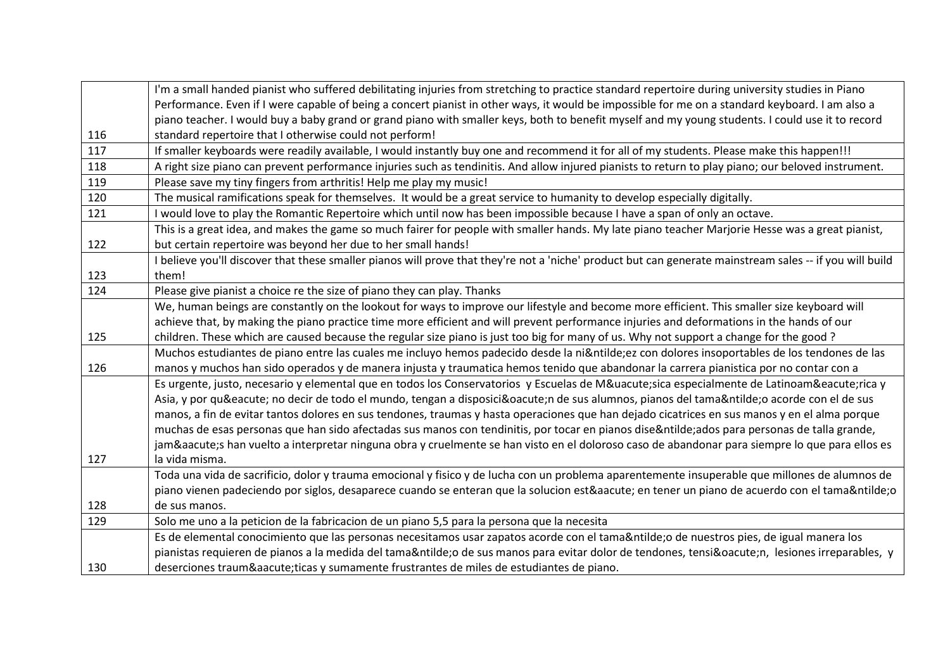|     | I'm a small handed pianist who suffered debilitating injuries from stretching to practice standard repertoire during university studies in Piano         |
|-----|----------------------------------------------------------------------------------------------------------------------------------------------------------|
|     | Performance. Even if I were capable of being a concert pianist in other ways, it would be impossible for me on a standard keyboard. I am also a          |
|     | piano teacher. I would buy a baby grand or grand piano with smaller keys, both to benefit myself and my young students. I could use it to record         |
| 116 | standard repertoire that I otherwise could not perform!                                                                                                  |
| 117 | If smaller keyboards were readily available, I would instantly buy one and recommend it for all of my students. Please make this happen!!!               |
| 118 | A right size piano can prevent performance injuries such as tendinitis. And allow injured pianists to return to play piano; our beloved instrument.      |
| 119 | Please save my tiny fingers from arthritis! Help me play my music!                                                                                       |
| 120 | The musical ramifications speak for themselves. It would be a great service to humanity to develop especially digitally.                                 |
| 121 | I would love to play the Romantic Repertoire which until now has been impossible because I have a span of only an octave.                                |
|     | This is a great idea, and makes the game so much fairer for people with smaller hands. My late piano teacher Marjorie Hesse was a great pianist,         |
| 122 | but certain repertoire was beyond her due to her small hands!                                                                                            |
|     | I believe you'll discover that these smaller pianos will prove that they're not a 'niche' product but can generate mainstream sales -- if you will build |
| 123 | them!                                                                                                                                                    |
| 124 | Please give pianist a choice re the size of piano they can play. Thanks                                                                                  |
|     | We, human beings are constantly on the lookout for ways to improve our lifestyle and become more efficient. This smaller size keyboard will              |
|     | achieve that, by making the piano practice time more efficient and will prevent performance injuries and deformations in the hands of our                |
| 125 | children. These which are caused because the regular size piano is just too big for many of us. Why not support a change for the good?                   |
|     | Muchos estudiantes de piano entre las cuales me incluyo hemos padecido desde la niñez con dolores insoportables de los tendones de las                   |
| 126 | manos y muchos han sido operados y de manera injusta y traumatica hemos tenido que abandonar la carrera pianistica por no contar con a                   |
|     | Es urgente, justo, necesario y elemental que en todos los Conservatorios y Escuelas de Música especialmente de Latinoamérica y                           |
|     | Asia, y por qué no decir de todo el mundo, tengan a disposición de sus alumnos, pianos del tamaño acorde con el de sus                                   |
|     | manos, a fin de evitar tantos dolores en sus tendones, traumas y hasta operaciones que han dejado cicatrices en sus manos y en el alma porque            |
|     | muchas de esas personas que han sido afectadas sus manos con tendinitis, por tocar en pianos diseñados para personas de talla grande,                    |
|     | jamás han vuelto a interpretar ninguna obra y cruelmente se han visto en el doloroso caso de abandonar para siempre lo que para ellos es                 |
| 127 | la vida misma.                                                                                                                                           |
|     | Toda una vida de sacrificio, dolor y trauma emocional y fisico y de lucha con un problema aparentemente insuperable que millones de alumnos de           |
|     | piano vienen padeciendo por siglos, desaparece cuando se enteran que la solucion está en tener un piano de acuerdo con el tamaño                         |
| 128 | de sus manos.                                                                                                                                            |
| 129 | Solo me uno a la peticion de la fabricacion de un piano 5,5 para la persona que la necesita                                                              |
|     | Es de elemental conocimiento que las personas necesitamos usar zapatos acorde con el tamaño de nuestros pies, de igual manera los                        |
|     | pianistas requieren de pianos a la medida del tamaño de sus manos para evitar dolor de tendones, tensión, lesiones irreparables, y                       |
| 130 | deserciones traumáticas y sumamente frustrantes de miles de estudiantes de piano.                                                                        |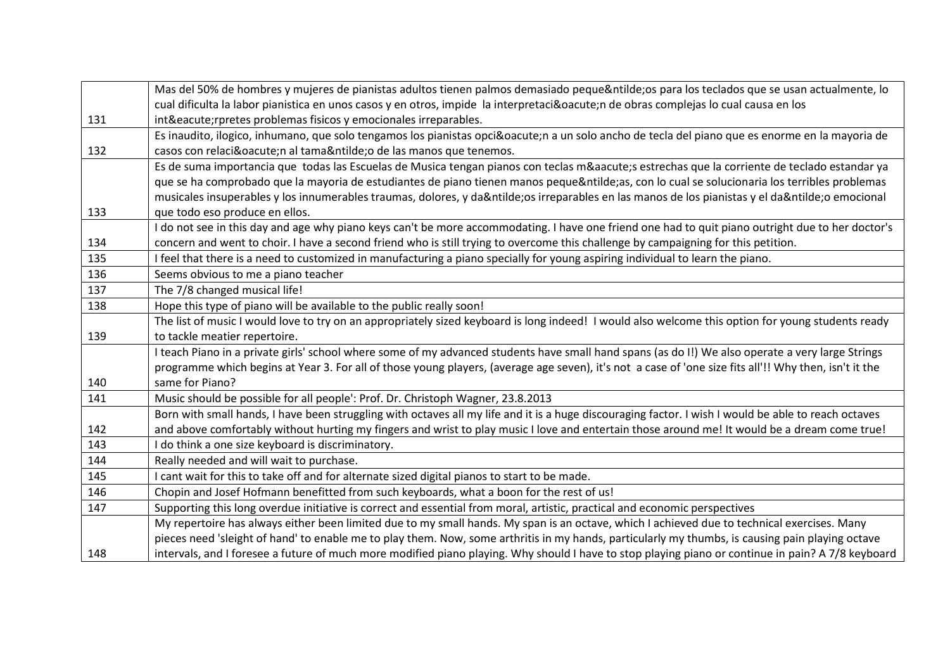|     | Mas del 50% de hombres y mujeres de pianistas adultos tienen palmos demasiado pequeños para los teclados que se usan actualmente, lo                   |
|-----|--------------------------------------------------------------------------------------------------------------------------------------------------------|
|     | cual dificulta la labor pianistica en unos casos y en otros, impide la interpretación de obras complejas lo cual causa en los                          |
| 131 | inté rpretes problemas fisicos y emocionales irreparables.                                                                                             |
|     | Es inaudito, ilogico, inhumano, que solo tengamos los pianistas opción a un solo ancho de tecla del piano que es enorme en la mayoria de               |
| 132 | casos con relación al tamaño de las manos que tenemos.                                                                                                 |
|     | Es de suma importancia que todas las Escuelas de Musica tengan pianos con teclas más estrechas que la corriente de teclado estandar ya                 |
|     | que se ha comprobado que la mayoria de estudiantes de piano tienen manos pequeñas, con lo cual se solucionaria los terribles problemas                 |
|     | musicales insuperables y los innumerables traumas, dolores, y daños irreparables en las manos de los pianistas y el daño emocional                     |
| 133 | que todo eso produce en ellos.                                                                                                                         |
|     | I do not see in this day and age why piano keys can't be more accommodating. I have one friend one had to quit piano outright due to her doctor's      |
| 134 | concern and went to choir. I have a second friend who is still trying to overcome this challenge by campaigning for this petition.                     |
| 135 | I feel that there is a need to customized in manufacturing a piano specially for young aspiring individual to learn the piano.                         |
| 136 | Seems obvious to me a piano teacher                                                                                                                    |
| 137 | The 7/8 changed musical life!                                                                                                                          |
| 138 | Hope this type of piano will be available to the public really soon!                                                                                   |
|     | The list of music I would love to try on an appropriately sized keyboard is long indeed! I would also welcome this option for young students ready     |
| 139 | to tackle meatier repertoire.                                                                                                                          |
|     | I teach Piano in a private girls' school where some of my advanced students have small hand spans (as do I!) We also operate a very large Strings      |
|     | programme which begins at Year 3. For all of those young players, (average age seven), it's not a case of 'one size fits all'!! Why then, isn't it the |
| 140 | same for Piano?                                                                                                                                        |
| 141 | Music should be possible for all people': Prof. Dr. Christoph Wagner, 23.8.2013                                                                        |
|     | Born with small hands, I have been struggling with octaves all my life and it is a huge discouraging factor. I wish I would be able to reach octaves   |
| 142 | and above comfortably without hurting my fingers and wrist to play music I love and entertain those around me! It would be a dream come true!          |
| 143 | I do think a one size keyboard is discriminatory.                                                                                                      |
| 144 | Really needed and will wait to purchase.                                                                                                               |
| 145 | I cant wait for this to take off and for alternate sized digital pianos to start to be made.                                                           |
| 146 | Chopin and Josef Hofmann benefitted from such keyboards, what a boon for the rest of us!                                                               |
| 147 | Supporting this long overdue initiative is correct and essential from moral, artistic, practical and economic perspectives                             |
|     | My repertoire has always either been limited due to my small hands. My span is an octave, which I achieved due to technical exercises. Many            |
|     | pieces need 'sleight of hand' to enable me to play them. Now, some arthritis in my hands, particularly my thumbs, is causing pain playing octave       |
| 148 | intervals, and I foresee a future of much more modified piano playing. Why should I have to stop playing piano or continue in pain? A 7/8 keyboard     |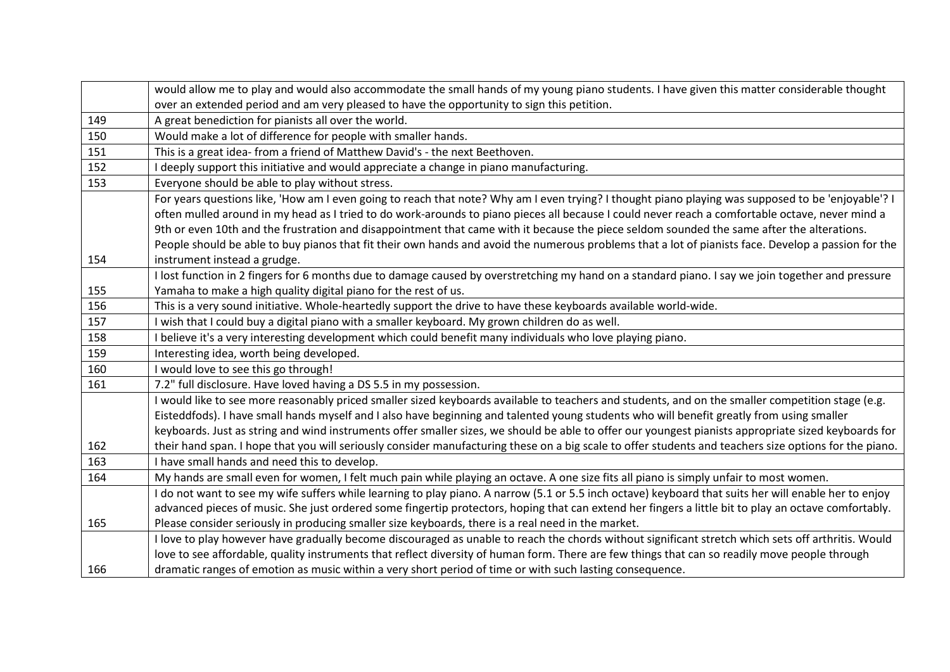|     | would allow me to play and would also accommodate the small hands of my young piano students. I have given this matter considerable thought            |
|-----|--------------------------------------------------------------------------------------------------------------------------------------------------------|
|     | over an extended period and am very pleased to have the opportunity to sign this petition.                                                             |
| 149 | A great benediction for pianists all over the world.                                                                                                   |
| 150 | Would make a lot of difference for people with smaller hands.                                                                                          |
| 151 | This is a great idea- from a friend of Matthew David's - the next Beethoven.                                                                           |
| 152 | I deeply support this initiative and would appreciate a change in piano manufacturing.                                                                 |
| 153 | Everyone should be able to play without stress.                                                                                                        |
|     | For years questions like, 'How am I even going to reach that note? Why am I even trying? I thought piano playing was supposed to be 'enjoyable'? I     |
|     | often mulled around in my head as I tried to do work-arounds to piano pieces all because I could never reach a comfortable octave, never mind a        |
|     | 9th or even 10th and the frustration and disappointment that came with it because the piece seldom sounded the same after the alterations.             |
|     | People should be able to buy pianos that fit their own hands and avoid the numerous problems that a lot of pianists face. Develop a passion for the    |
| 154 | instrument instead a grudge.                                                                                                                           |
|     | I lost function in 2 fingers for 6 months due to damage caused by overstretching my hand on a standard piano. I say we join together and pressure      |
| 155 | Yamaha to make a high quality digital piano for the rest of us.                                                                                        |
| 156 | This is a very sound initiative. Whole-heartedly support the drive to have these keyboards available world-wide.                                       |
| 157 | I wish that I could buy a digital piano with a smaller keyboard. My grown children do as well.                                                         |
| 158 | I believe it's a very interesting development which could benefit many individuals who love playing piano.                                             |
| 159 | Interesting idea, worth being developed.                                                                                                               |
| 160 | I would love to see this go through!                                                                                                                   |
| 161 | 7.2" full disclosure. Have loved having a DS 5.5 in my possession.                                                                                     |
|     | I would like to see more reasonably priced smaller sized keyboards available to teachers and students, and on the smaller competition stage (e.g.      |
|     | Eisteddfods). I have small hands myself and I also have beginning and talented young students who will benefit greatly from using smaller              |
|     | keyboards. Just as string and wind instruments offer smaller sizes, we should be able to offer our youngest pianists appropriate sized keyboards for   |
| 162 | their hand span. I hope that you will seriously consider manufacturing these on a big scale to offer students and teachers size options for the piano. |
| 163 | I have small hands and need this to develop.                                                                                                           |
| 164 | My hands are small even for women, I felt much pain while playing an octave. A one size fits all piano is simply unfair to most women.                 |
|     | I do not want to see my wife suffers while learning to play piano. A narrow (5.1 or 5.5 inch octave) keyboard that suits her will enable her to enjoy  |
|     | advanced pieces of music. She just ordered some fingertip protectors, hoping that can extend her fingers a little bit to play an octave comfortably.   |
| 165 | Please consider seriously in producing smaller size keyboards, there is a real need in the market.                                                     |
|     |                                                                                                                                                        |
|     | I love to play however have gradually become discouraged as unable to reach the chords without significant stretch which sets off arthritis. Would     |
|     | love to see affordable, quality instruments that reflect diversity of human form. There are few things that can so readily move people through         |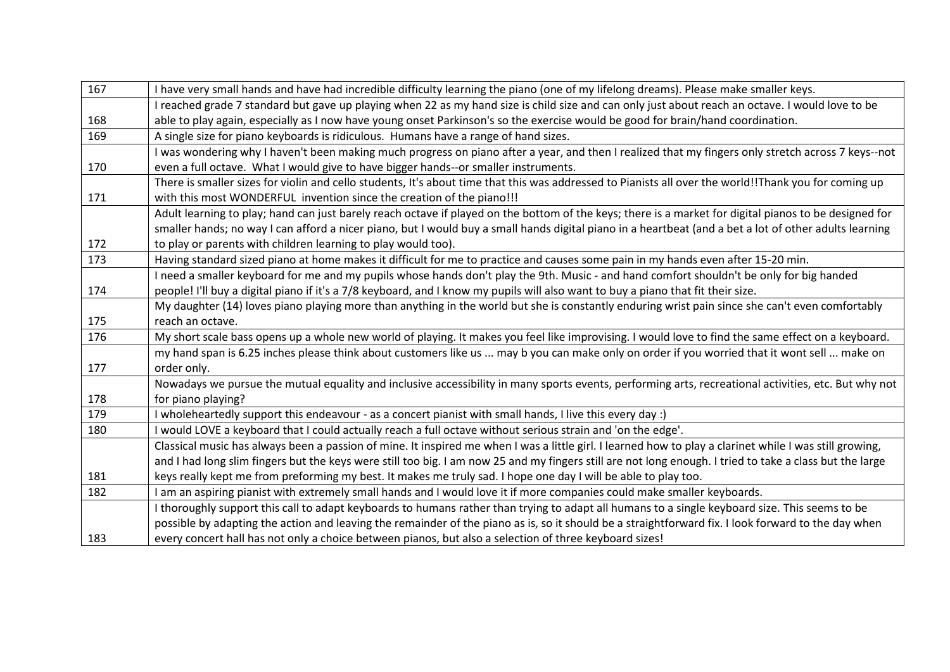| 167 | I have very small hands and have had incredible difficulty learning the piano (one of my lifelong dreams). Please make smaller keys.                     |
|-----|----------------------------------------------------------------------------------------------------------------------------------------------------------|
|     | I reached grade 7 standard but gave up playing when 22 as my hand size is child size and can only just about reach an octave. I would love to be         |
| 168 | able to play again, especially as I now have young onset Parkinson's so the exercise would be good for brain/hand coordination.                          |
| 169 | A single size for piano keyboards is ridiculous. Humans have a range of hand sizes.                                                                      |
|     | I was wondering why I haven't been making much progress on piano after a year, and then I realized that my fingers only stretch across 7 keys--not       |
| 170 | even a full octave. What I would give to have bigger hands--or smaller instruments.                                                                      |
|     | There is smaller sizes for violin and cello students, It's about time that this was addressed to Pianists all over the world!!Thank you for coming up    |
| 171 | with this most WONDERFUL invention since the creation of the piano!!!                                                                                    |
|     | Adult learning to play; hand can just barely reach octave if played on the bottom of the keys; there is a market for digital pianos to be designed for   |
|     | smaller hands; no way I can afford a nicer piano, but I would buy a small hands digital piano in a heartbeat (and a bet a lot of other adults learning   |
| 172 | to play or parents with children learning to play would too).                                                                                            |
| 173 | Having standard sized piano at home makes it difficult for me to practice and causes some pain in my hands even after 15-20 min.                         |
|     | I need a smaller keyboard for me and my pupils whose hands don't play the 9th. Music - and hand comfort shouldn't be only for big handed                 |
| 174 | people! I'll buy a digital piano if it's a 7/8 keyboard, and I know my pupils will also want to buy a piano that fit their size.                         |
|     | My daughter (14) loves piano playing more than anything in the world but she is constantly enduring wrist pain since she can't even comfortably          |
| 175 | reach an octave.                                                                                                                                         |
| 176 | My short scale bass opens up a whole new world of playing. It makes you feel like improvising. I would love to find the same effect on a keyboard.       |
|     | my hand span is 6.25 inches please think about customers like us  may b you can make only on order if you worried that it wont sell  make on             |
| 177 | order only.                                                                                                                                              |
|     | Nowadays we pursue the mutual equality and inclusive accessibility in many sports events, performing arts, recreational activities, etc. But why not     |
| 178 | for piano playing?                                                                                                                                       |
| 179 | (: wholeheartedly support this endeavour - as a concert pianist with small hands, I live this every day                                                  |
| 180 | I would LOVE a keyboard that I could actually reach a full octave without serious strain and 'on the edge'.                                              |
|     | Classical music has always been a passion of mine. It inspired me when I was a little girl. I learned how to play a clarinet while I was still growing,  |
|     | and I had long slim fingers but the keys were still too big. I am now 25 and my fingers still are not long enough. I tried to take a class but the large |
| 181 | keys really kept me from preforming my best. It makes me truly sad. I hope one day I will be able to play too.                                           |
| 182 | I am an aspiring pianist with extremely small hands and I would love it if more companies could make smaller keyboards.                                  |
|     | I thoroughly support this call to adapt keyboards to humans rather than trying to adapt all humans to a single keyboard size. This seems to be           |
|     | possible by adapting the action and leaving the remainder of the piano as is, so it should be a straightforward fix. I look forward to the day when      |
| 183 | every concert hall has not only a choice between pianos, but also a selection of three keyboard sizes!                                                   |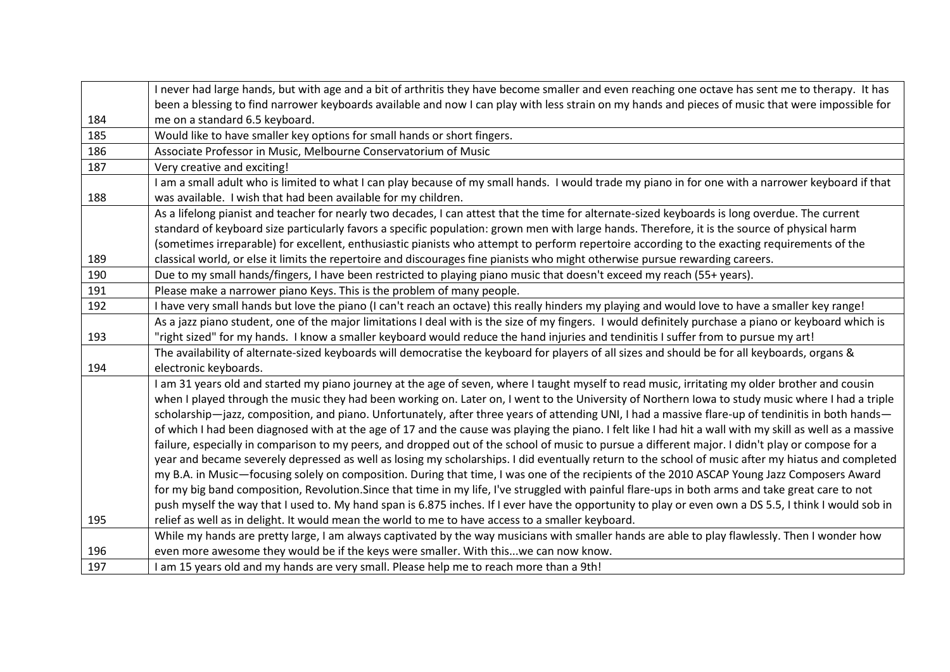|     | I never had large hands, but with age and a bit of arthritis they have become smaller and even reaching one octave has sent me to therapy. It has        |  |  |  |  |  |  |
|-----|----------------------------------------------------------------------------------------------------------------------------------------------------------|--|--|--|--|--|--|
|     | been a blessing to find narrower keyboards available and now I can play with less strain on my hands and pieces of music that were impossible for        |  |  |  |  |  |  |
| 184 | me on a standard 6.5 keyboard.                                                                                                                           |  |  |  |  |  |  |
| 185 | Would like to have smaller key options for small hands or short fingers.                                                                                 |  |  |  |  |  |  |
| 186 | Associate Professor in Music, Melbourne Conservatorium of Music                                                                                          |  |  |  |  |  |  |
| 187 | Very creative and exciting!                                                                                                                              |  |  |  |  |  |  |
|     | I am a small adult who is limited to what I can play because of my small hands. I would trade my piano in for one with a narrower keyboard if that       |  |  |  |  |  |  |
| 188 | was available. I wish that had been available for my children.                                                                                           |  |  |  |  |  |  |
|     | As a lifelong pianist and teacher for nearly two decades, I can attest that the time for alternate-sized keyboards is long overdue. The current          |  |  |  |  |  |  |
|     | standard of keyboard size particularly favors a specific population: grown men with large hands. Therefore, it is the source of physical harm            |  |  |  |  |  |  |
|     | (sometimes irreparable) for excellent, enthusiastic pianists who attempt to perform repertoire according to the exacting requirements of the             |  |  |  |  |  |  |
| 189 | classical world, or else it limits the repertoire and discourages fine pianists who might otherwise pursue rewarding careers.                            |  |  |  |  |  |  |
| 190 | Due to my small hands/fingers, I have been restricted to playing piano music that doesn't exceed my reach (55+ years).                                   |  |  |  |  |  |  |
| 191 | Please make a narrower piano Keys. This is the problem of many people.                                                                                   |  |  |  |  |  |  |
| 192 | I have very small hands but love the piano (I can't reach an octave) this really hinders my playing and would love to have a smaller key range!          |  |  |  |  |  |  |
|     | As a jazz piano student, one of the major limitations I deal with is the size of my fingers. I would definitely purchase a piano or keyboard which is    |  |  |  |  |  |  |
| 193 | "right sized" for my hands. I know a smaller keyboard would reduce the hand injuries and tendinitis I suffer from to pursue my art!                      |  |  |  |  |  |  |
|     | The availability of alternate-sized keyboards will democratise the keyboard for players of all sizes and should be for all keyboards, organs &           |  |  |  |  |  |  |
| 194 | electronic keyboards.                                                                                                                                    |  |  |  |  |  |  |
|     | I am 31 years old and started my piano journey at the age of seven, where I taught myself to read music, irritating my older brother and cousin          |  |  |  |  |  |  |
|     | when I played through the music they had been working on. Later on, I went to the University of Northern Iowa to study music where I had a triple        |  |  |  |  |  |  |
|     | scholarship-jazz, composition, and piano. Unfortunately, after three years of attending UNI, I had a massive flare-up of tendinitis in both hands-       |  |  |  |  |  |  |
|     | of which I had been diagnosed with at the age of 17 and the cause was playing the piano. I felt like I had hit a wall with my skill as well as a massive |  |  |  |  |  |  |
|     | failure, especially in comparison to my peers, and dropped out of the school of music to pursue a different major. I didn't play or compose for a        |  |  |  |  |  |  |
|     | year and became severely depressed as well as losing my scholarships. I did eventually return to the school of music after my hiatus and completed       |  |  |  |  |  |  |
|     | my B.A. in Music—focusing solely on composition. During that time, I was one of the recipients of the 2010 ASCAP Young Jazz Composers Award              |  |  |  |  |  |  |
|     | for my big band composition, Revolution. Since that time in my life, I've struggled with painful flare-ups in both arms and take great care to not       |  |  |  |  |  |  |
|     | push myself the way that I used to. My hand span is 6.875 inches. If I ever have the opportunity to play or even own a DS 5.5, I think I would sob in    |  |  |  |  |  |  |
| 195 | relief as well as in delight. It would mean the world to me to have access to a smaller keyboard.                                                        |  |  |  |  |  |  |
|     | While my hands are pretty large, I am always captivated by the way musicians with smaller hands are able to play flawlessly. Then I wonder how           |  |  |  |  |  |  |
| 196 | even more awesome they would be if the keys were smaller. With thiswe can now know.                                                                      |  |  |  |  |  |  |
| 197 | I am 15 years old and my hands are very small. Please help me to reach more than a 9th!                                                                  |  |  |  |  |  |  |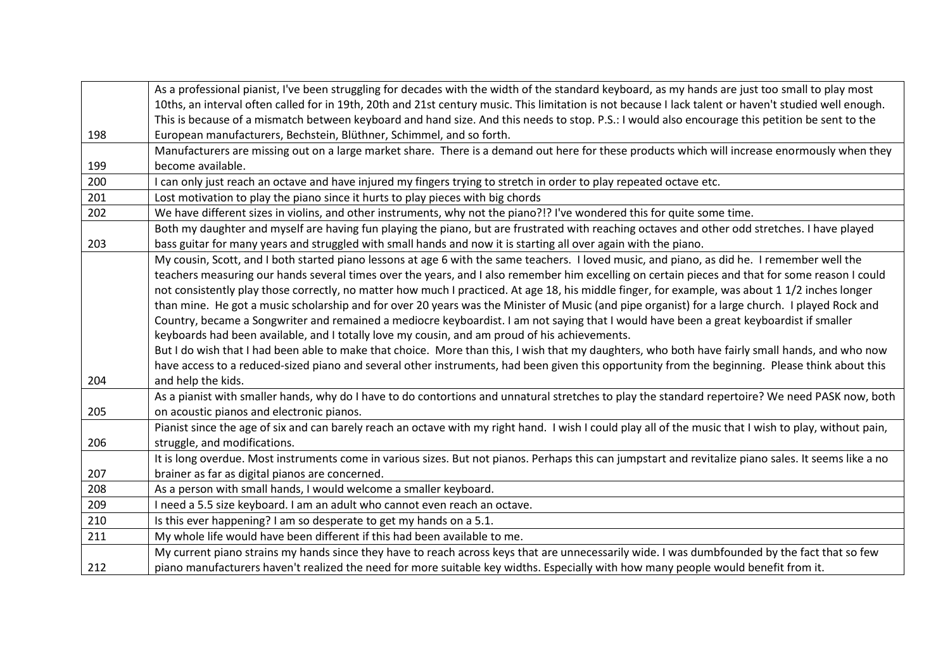|     | As a professional pianist, I've been struggling for decades with the width of the standard keyboard, as my hands are just too small to play most        |  |  |  |  |  |
|-----|---------------------------------------------------------------------------------------------------------------------------------------------------------|--|--|--|--|--|
|     | 10ths, an interval often called for in 19th, 20th and 21st century music. This limitation is not because I lack talent or haven't studied well enough.  |  |  |  |  |  |
|     | This is because of a mismatch between keyboard and hand size. And this needs to stop. P.S.: I would also encourage this petition be sent to the         |  |  |  |  |  |
| 198 | European manufacturers, Bechstein, Blüthner, Schimmel, and so forth.                                                                                    |  |  |  |  |  |
|     | Manufacturers are missing out on a large market share. There is a demand out here for these products which will increase enormously when they           |  |  |  |  |  |
| 199 | become available.                                                                                                                                       |  |  |  |  |  |
| 200 | I can only just reach an octave and have injured my fingers trying to stretch in order to play repeated octave etc.                                     |  |  |  |  |  |
| 201 | Lost motivation to play the piano since it hurts to play pieces with big chords                                                                         |  |  |  |  |  |
| 202 | We have different sizes in violins, and other instruments, why not the piano?!? I've wondered this for quite some time.                                 |  |  |  |  |  |
|     | Both my daughter and myself are having fun playing the piano, but are frustrated with reaching octaves and other odd stretches. I have played           |  |  |  |  |  |
| 203 | bass guitar for many years and struggled with small hands and now it is starting all over again with the piano.                                         |  |  |  |  |  |
|     | My cousin, Scott, and I both started piano lessons at age 6 with the same teachers. I loved music, and piano, as did he. I remember well the            |  |  |  |  |  |
|     | teachers measuring our hands several times over the years, and I also remember him excelling on certain pieces and that for some reason I could         |  |  |  |  |  |
|     | not consistently play those correctly, no matter how much I practiced. At age 18, his middle finger, for example, was about 1 1/2 inches longer         |  |  |  |  |  |
|     | than mine. He got a music scholarship and for over 20 years was the Minister of Music (and pipe organist) for a large church. I played Rock and         |  |  |  |  |  |
|     | Country, became a Songwriter and remained a mediocre keyboardist. I am not saying that I would have been a great keyboardist if smaller                 |  |  |  |  |  |
|     | keyboards had been available, and I totally love my cousin, and am proud of his achievements.                                                           |  |  |  |  |  |
|     | But I do wish that I had been able to make that choice. More than this, I wish that my daughters, who both have fairly small hands, and who now         |  |  |  |  |  |
|     | have access to a reduced-sized piano and several other instruments, had been given this opportunity from the beginning. Please think about this         |  |  |  |  |  |
| 204 | and help the kids.                                                                                                                                      |  |  |  |  |  |
|     | As a pianist with smaller hands, why do I have to do contortions and unnatural stretches to play the standard repertoire? We need PASK now, both        |  |  |  |  |  |
| 205 | on acoustic pianos and electronic pianos.                                                                                                               |  |  |  |  |  |
|     | Pianist since the age of six and can barely reach an octave with my right hand. I wish I could play all of the music that I wish to play, without pain, |  |  |  |  |  |
| 206 | struggle, and modifications.                                                                                                                            |  |  |  |  |  |
|     | It is long overdue. Most instruments come in various sizes. But not pianos. Perhaps this can jumpstart and revitalize piano sales. It seems like a no   |  |  |  |  |  |
| 207 | brainer as far as digital pianos are concerned.                                                                                                         |  |  |  |  |  |
| 208 | As a person with small hands, I would welcome a smaller keyboard.                                                                                       |  |  |  |  |  |
| 209 | I need a 5.5 size keyboard. I am an adult who cannot even reach an octave.                                                                              |  |  |  |  |  |
| 210 | Is this ever happening? I am so desperate to get my hands on a 5.1.                                                                                     |  |  |  |  |  |
| 211 | My whole life would have been different if this had been available to me.                                                                               |  |  |  |  |  |
|     | My current piano strains my hands since they have to reach across keys that are unnecessarily wide. I was dumbfounded by the fact that so few           |  |  |  |  |  |
| 212 | piano manufacturers haven't realized the need for more suitable key widths. Especially with how many people would benefit from it.                      |  |  |  |  |  |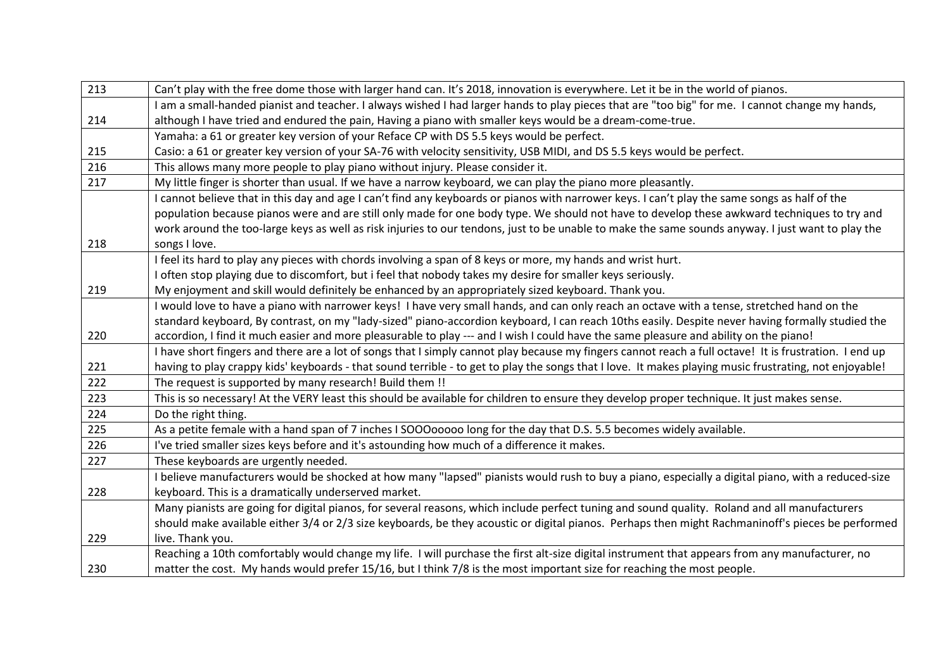| 213                                                                                                                                          | Can't play with the free dome those with larger hand can. It's 2018, innovation is everywhere. Let it be in the world of pianos.                       |  |  |  |  |  |
|----------------------------------------------------------------------------------------------------------------------------------------------|--------------------------------------------------------------------------------------------------------------------------------------------------------|--|--|--|--|--|
|                                                                                                                                              | I am a small-handed pianist and teacher. I always wished I had larger hands to play pieces that are "too big" for me. I cannot change my hands,        |  |  |  |  |  |
| 214                                                                                                                                          | although I have tried and endured the pain, Having a piano with smaller keys would be a dream-come-true.                                               |  |  |  |  |  |
|                                                                                                                                              | Yamaha: a 61 or greater key version of your Reface CP with DS 5.5 keys would be perfect.                                                               |  |  |  |  |  |
| 215                                                                                                                                          | Casio: a 61 or greater key version of your SA-76 with velocity sensitivity, USB MIDI, and DS 5.5 keys would be perfect.                                |  |  |  |  |  |
| 216                                                                                                                                          | This allows many more people to play piano without injury. Please consider it.                                                                         |  |  |  |  |  |
| 217                                                                                                                                          | My little finger is shorter than usual. If we have a narrow keyboard, we can play the piano more pleasantly.                                           |  |  |  |  |  |
|                                                                                                                                              | I cannot believe that in this day and age I can't find any keyboards or pianos with narrower keys. I can't play the same songs as half of the          |  |  |  |  |  |
|                                                                                                                                              | population because pianos were and are still only made for one body type. We should not have to develop these awkward techniques to try and            |  |  |  |  |  |
|                                                                                                                                              | work around the too-large keys as well as risk injuries to our tendons, just to be unable to make the same sounds anyway. I just want to play the      |  |  |  |  |  |
| 218                                                                                                                                          | songs I love.                                                                                                                                          |  |  |  |  |  |
|                                                                                                                                              | I feel its hard to play any pieces with chords involving a span of 8 keys or more, my hands and wrist hurt.                                            |  |  |  |  |  |
|                                                                                                                                              | I often stop playing due to discomfort, but i feel that nobody takes my desire for smaller keys seriously.                                             |  |  |  |  |  |
| 219                                                                                                                                          | My enjoyment and skill would definitely be enhanced by an appropriately sized keyboard. Thank you.                                                     |  |  |  |  |  |
| I would love to have a piano with narrower keys! I have very small hands, and can only reach an octave with a tense, stretched hand on the   |                                                                                                                                                        |  |  |  |  |  |
|                                                                                                                                              | standard keyboard, By contrast, on my "lady-sized" piano-accordion keyboard, I can reach 10ths easily. Despite never having formally studied the       |  |  |  |  |  |
| 220<br>accordion, I find it much easier and more pleasurable to play --- and I wish I could have the same pleasure and ability on the piano! |                                                                                                                                                        |  |  |  |  |  |
|                                                                                                                                              | I have short fingers and there are a lot of songs that I simply cannot play because my fingers cannot reach a full octave! It is frustration. I end up |  |  |  |  |  |
| 221                                                                                                                                          | having to play crappy kids' keyboards - that sound terrible - to get to play the songs that I love. It makes playing music frustrating, not enjoyable! |  |  |  |  |  |
| 222                                                                                                                                          | The request is supported by many research! Build them !!                                                                                               |  |  |  |  |  |
| 223                                                                                                                                          | This is so necessary! At the VERY least this should be available for children to ensure they develop proper technique. It just makes sense.            |  |  |  |  |  |
| 224                                                                                                                                          | Do the right thing.                                                                                                                                    |  |  |  |  |  |
| 225                                                                                                                                          | As a petite female with a hand span of 7 inches I SOOOooooo long for the day that D.S. 5.5 becomes widely available.                                   |  |  |  |  |  |
| 226                                                                                                                                          | I've tried smaller sizes keys before and it's astounding how much of a difference it makes.                                                            |  |  |  |  |  |
| 227                                                                                                                                          | These keyboards are urgently needed.                                                                                                                   |  |  |  |  |  |
|                                                                                                                                              | I believe manufacturers would be shocked at how many "lapsed" pianists would rush to buy a piano, especially a digital piano, with a reduced-size      |  |  |  |  |  |
| 228                                                                                                                                          | keyboard. This is a dramatically underserved market.                                                                                                   |  |  |  |  |  |
|                                                                                                                                              | Many pianists are going for digital pianos, for several reasons, which include perfect tuning and sound quality. Roland and all manufacturers          |  |  |  |  |  |
|                                                                                                                                              | should make available either 3/4 or 2/3 size keyboards, be they acoustic or digital pianos. Perhaps then might Rachmaninoff's pieces be performed      |  |  |  |  |  |
| 229                                                                                                                                          | live. Thank you.                                                                                                                                       |  |  |  |  |  |
|                                                                                                                                              | Reaching a 10th comfortably would change my life. I will purchase the first alt-size digital instrument that appears from any manufacturer, no         |  |  |  |  |  |
| 230                                                                                                                                          | matter the cost. My hands would prefer 15/16, but I think 7/8 is the most important size for reaching the most people.                                 |  |  |  |  |  |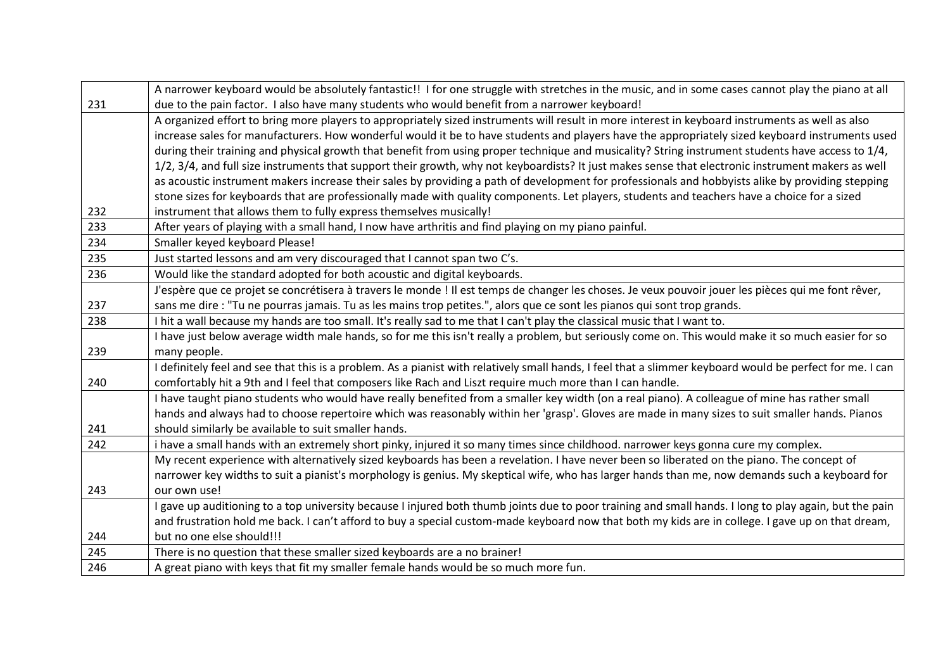|     | A narrower keyboard would be absolutely fantastic!! I for one struggle with stretches in the music, and in some cases cannot play the piano at all        |  |  |  |  |  |  |
|-----|-----------------------------------------------------------------------------------------------------------------------------------------------------------|--|--|--|--|--|--|
| 231 | due to the pain factor. I also have many students who would benefit from a narrower keyboard!                                                             |  |  |  |  |  |  |
|     | A organized effort to bring more players to appropriately sized instruments will result in more interest in keyboard instruments as well as also          |  |  |  |  |  |  |
|     | increase sales for manufacturers. How wonderful would it be to have students and players have the appropriately sized keyboard instruments used           |  |  |  |  |  |  |
|     | during their training and physical growth that benefit from using proper technique and musicality? String instrument students have access to 1/4,         |  |  |  |  |  |  |
|     | 1/2, 3/4, and full size instruments that support their growth, why not keyboardists? It just makes sense that electronic instrument makers as well        |  |  |  |  |  |  |
|     | as acoustic instrument makers increase their sales by providing a path of development for professionals and hobbyists alike by providing stepping         |  |  |  |  |  |  |
|     | stone sizes for keyboards that are professionally made with quality components. Let players, students and teachers have a choice for a sized              |  |  |  |  |  |  |
| 232 | instrument that allows them to fully express themselves musically!                                                                                        |  |  |  |  |  |  |
| 233 | After years of playing with a small hand, I now have arthritis and find playing on my piano painful.                                                      |  |  |  |  |  |  |
| 234 | Smaller keyed keyboard Please!                                                                                                                            |  |  |  |  |  |  |
| 235 | Just started lessons and am very discouraged that I cannot span two C's.                                                                                  |  |  |  |  |  |  |
| 236 | Would like the standard adopted for both acoustic and digital keyboards.                                                                                  |  |  |  |  |  |  |
|     | J'espère que ce projet se concrétisera à travers le monde ! Il est temps de changer les choses. Je veux pouvoir jouer les pièces qui me font rêver,       |  |  |  |  |  |  |
| 237 | sans me dire : "Tu ne pourras jamais. Tu as les mains trop petites.", alors que ce sont les pianos qui sont trop grands.                                  |  |  |  |  |  |  |
| 238 | I hit a wall because my hands are too small. It's really sad to me that I can't play the classical music that I want to.                                  |  |  |  |  |  |  |
|     | I have just below average width male hands, so for me this isn't really a problem, but seriously come on. This would make it so much easier for so        |  |  |  |  |  |  |
| 239 | many people.                                                                                                                                              |  |  |  |  |  |  |
|     | I definitely feel and see that this is a problem. As a pianist with relatively small hands, I feel that a slimmer keyboard would be perfect for me. I can |  |  |  |  |  |  |
| 240 | comfortably hit a 9th and I feel that composers like Rach and Liszt require much more than I can handle.                                                  |  |  |  |  |  |  |
|     | I have taught piano students who would have really benefited from a smaller key width (on a real piano). A colleague of mine has rather small             |  |  |  |  |  |  |
|     | hands and always had to choose repertoire which was reasonably within her 'grasp'. Gloves are made in many sizes to suit smaller hands. Pianos            |  |  |  |  |  |  |
| 241 | should similarly be available to suit smaller hands.                                                                                                      |  |  |  |  |  |  |
| 242 | i have a small hands with an extremely short pinky, injured it so many times since childhood. narrower keys gonna cure my complex.                        |  |  |  |  |  |  |
|     | My recent experience with alternatively sized keyboards has been a revelation. I have never been so liberated on the piano. The concept of                |  |  |  |  |  |  |
|     | narrower key widths to suit a pianist's morphology is genius. My skeptical wife, who has larger hands than me, now demands such a keyboard for            |  |  |  |  |  |  |
| 243 | our own use!                                                                                                                                              |  |  |  |  |  |  |
|     | I gave up auditioning to a top university because I injured both thumb joints due to poor training and small hands. I long to play again, but the pain    |  |  |  |  |  |  |
|     | and frustration hold me back. I can't afford to buy a special custom-made keyboard now that both my kids are in college. I gave up on that dream,         |  |  |  |  |  |  |
| 244 | but no one else should!!!                                                                                                                                 |  |  |  |  |  |  |
| 245 | There is no question that these smaller sized keyboards are a no brainer!                                                                                 |  |  |  |  |  |  |
| 246 | A great piano with keys that fit my smaller female hands would be so much more fun.                                                                       |  |  |  |  |  |  |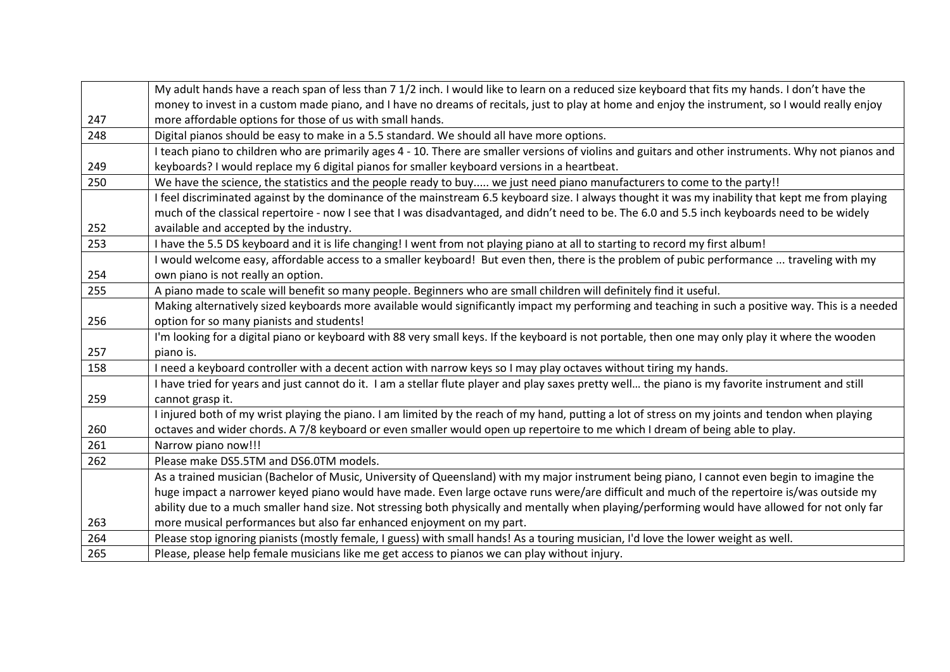|                                                  | My adult hands have a reach span of less than 7 1/2 inch. I would like to learn on a reduced size keyboard that fits my hands. I don't have the      |  |  |  |  |  |
|--------------------------------------------------|------------------------------------------------------------------------------------------------------------------------------------------------------|--|--|--|--|--|
|                                                  | money to invest in a custom made piano, and I have no dreams of recitals, just to play at home and enjoy the instrument, so I would really enjoy     |  |  |  |  |  |
| 247                                              | more affordable options for those of us with small hands.                                                                                            |  |  |  |  |  |
| 248                                              | Digital pianos should be easy to make in a 5.5 standard. We should all have more options.                                                            |  |  |  |  |  |
|                                                  | I teach piano to children who are primarily ages 4 - 10. There are smaller versions of violins and guitars and other instruments. Why not pianos and |  |  |  |  |  |
| 249                                              | keyboards? I would replace my 6 digital pianos for smaller keyboard versions in a heartbeat.                                                         |  |  |  |  |  |
| 250                                              | We have the science, the statistics and the people ready to buy we just need piano manufacturers to come to the party!!                              |  |  |  |  |  |
|                                                  | I feel discriminated against by the dominance of the mainstream 6.5 keyboard size. I always thought it was my inability that kept me from playing    |  |  |  |  |  |
|                                                  | much of the classical repertoire - now I see that I was disadvantaged, and didn't need to be. The 6.0 and 5.5 inch keyboards need to be widely       |  |  |  |  |  |
| 252                                              | available and accepted by the industry.                                                                                                              |  |  |  |  |  |
| 253                                              | I have the 5.5 DS keyboard and it is life changing! I went from not playing piano at all to starting to record my first album!                       |  |  |  |  |  |
|                                                  | I would welcome easy, affordable access to a smaller keyboard! But even then, there is the problem of pubic performance  traveling with my           |  |  |  |  |  |
| 254                                              | own piano is not really an option.                                                                                                                   |  |  |  |  |  |
| 255                                              | A piano made to scale will benefit so many people. Beginners who are small children will definitely find it useful.                                  |  |  |  |  |  |
|                                                  | Making alternatively sized keyboards more available would significantly impact my performing and teaching in such a positive way. This is a needed   |  |  |  |  |  |
| 256<br>option for so many pianists and students! |                                                                                                                                                      |  |  |  |  |  |
|                                                  | I'm looking for a digital piano or keyboard with 88 very small keys. If the keyboard is not portable, then one may only play it where the wooden     |  |  |  |  |  |
| 257                                              | piano is.                                                                                                                                            |  |  |  |  |  |
| 158                                              | I need a keyboard controller with a decent action with narrow keys so I may play octaves without tiring my hands.                                    |  |  |  |  |  |
|                                                  | I have tried for years and just cannot do it. I am a stellar flute player and play saxes pretty well the piano is my favorite instrument and still   |  |  |  |  |  |
| 259                                              | cannot grasp it.                                                                                                                                     |  |  |  |  |  |
|                                                  | I injured both of my wrist playing the piano. I am limited by the reach of my hand, putting a lot of stress on my joints and tendon when playing     |  |  |  |  |  |
| 260                                              | octaves and wider chords. A 7/8 keyboard or even smaller would open up repertoire to me which I dream of being able to play.                         |  |  |  |  |  |
| 261                                              | Narrow piano now!!!                                                                                                                                  |  |  |  |  |  |
| 262                                              | Please make DS5.5TM and DS6.0TM models.                                                                                                              |  |  |  |  |  |
|                                                  | As a trained musician (Bachelor of Music, University of Queensland) with my major instrument being piano, I cannot even begin to imagine the         |  |  |  |  |  |
|                                                  | huge impact a narrower keyed piano would have made. Even large octave runs were/are difficult and much of the repertoire is/was outside my           |  |  |  |  |  |
|                                                  | ability due to a much smaller hand size. Not stressing both physically and mentally when playing/performing would have allowed for not only far      |  |  |  |  |  |
| 263                                              | more musical performances but also far enhanced enjoyment on my part.                                                                                |  |  |  |  |  |
| 264                                              | Please stop ignoring pianists (mostly female, I guess) with small hands! As a touring musician, I'd love the lower weight as well.                   |  |  |  |  |  |
| 265                                              | Please, please help female musicians like me get access to pianos we can play without injury.                                                        |  |  |  |  |  |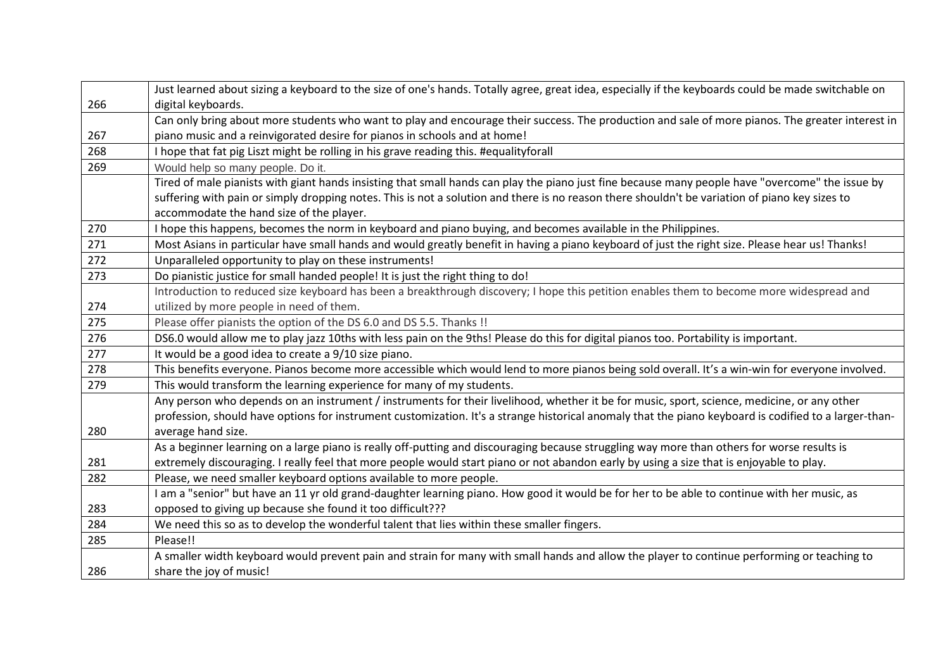|                                                                                                                                          | Just learned about sizing a keyboard to the size of one's hands. Totally agree, great idea, especially if the keyboards could be made switchable on   |  |  |  |  |  |  |
|------------------------------------------------------------------------------------------------------------------------------------------|-------------------------------------------------------------------------------------------------------------------------------------------------------|--|--|--|--|--|--|
| 266                                                                                                                                      | digital keyboards.                                                                                                                                    |  |  |  |  |  |  |
|                                                                                                                                          | Can only bring about more students who want to play and encourage their success. The production and sale of more pianos. The greater interest in      |  |  |  |  |  |  |
| 267                                                                                                                                      | piano music and a reinvigorated desire for pianos in schools and at home!                                                                             |  |  |  |  |  |  |
| 268                                                                                                                                      | I hope that fat pig Liszt might be rolling in his grave reading this. #equalityforall                                                                 |  |  |  |  |  |  |
| 269                                                                                                                                      | Would help so many people. Do it.                                                                                                                     |  |  |  |  |  |  |
|                                                                                                                                          | Tired of male pianists with giant hands insisting that small hands can play the piano just fine because many people have "overcome" the issue by      |  |  |  |  |  |  |
|                                                                                                                                          | suffering with pain or simply dropping notes. This is not a solution and there is no reason there shouldn't be variation of piano key sizes to        |  |  |  |  |  |  |
|                                                                                                                                          | accommodate the hand size of the player.                                                                                                              |  |  |  |  |  |  |
| 270                                                                                                                                      | I hope this happens, becomes the norm in keyboard and piano buying, and becomes available in the Philippines.                                         |  |  |  |  |  |  |
| 271                                                                                                                                      | Most Asians in particular have small hands and would greatly benefit in having a piano keyboard of just the right size. Please hear us! Thanks!       |  |  |  |  |  |  |
| 272                                                                                                                                      | Unparalleled opportunity to play on these instruments!                                                                                                |  |  |  |  |  |  |
| 273                                                                                                                                      | Do pianistic justice for small handed people! It is just the right thing to do!                                                                       |  |  |  |  |  |  |
| Introduction to reduced size keyboard has been a breakthrough discovery; I hope this petition enables them to become more widespread and |                                                                                                                                                       |  |  |  |  |  |  |
| 274                                                                                                                                      | utilized by more people in need of them.                                                                                                              |  |  |  |  |  |  |
| 275                                                                                                                                      | Please offer pianists the option of the DS 6.0 and DS 5.5. Thanks !!                                                                                  |  |  |  |  |  |  |
| 276                                                                                                                                      | DS6.0 would allow me to play jazz 10ths with less pain on the 9ths! Please do this for digital pianos too. Portability is important.                  |  |  |  |  |  |  |
| 277                                                                                                                                      | It would be a good idea to create a 9/10 size piano.                                                                                                  |  |  |  |  |  |  |
| 278                                                                                                                                      | This benefits everyone. Pianos become more accessible which would lend to more pianos being sold overall. It's a win-win for everyone involved.       |  |  |  |  |  |  |
| 279                                                                                                                                      | This would transform the learning experience for many of my students.                                                                                 |  |  |  |  |  |  |
|                                                                                                                                          | Any person who depends on an instrument / instruments for their livelihood, whether it be for music, sport, science, medicine, or any other           |  |  |  |  |  |  |
|                                                                                                                                          | profession, should have options for instrument customization. It's a strange historical anomaly that the piano keyboard is codified to a larger-than- |  |  |  |  |  |  |
| 280                                                                                                                                      | average hand size.                                                                                                                                    |  |  |  |  |  |  |
|                                                                                                                                          | As a beginner learning on a large piano is really off-putting and discouraging because struggling way more than others for worse results is           |  |  |  |  |  |  |
| 281                                                                                                                                      | extremely discouraging. I really feel that more people would start piano or not abandon early by using a size that is enjoyable to play.              |  |  |  |  |  |  |
| 282                                                                                                                                      | Please, we need smaller keyboard options available to more people.                                                                                    |  |  |  |  |  |  |
|                                                                                                                                          | I am a "senior" but have an 11 yr old grand-daughter learning piano. How good it would be for her to be able to continue with her music, as           |  |  |  |  |  |  |
| 283                                                                                                                                      | opposed to giving up because she found it too difficult???                                                                                            |  |  |  |  |  |  |
| 284                                                                                                                                      | We need this so as to develop the wonderful talent that lies within these smaller fingers.                                                            |  |  |  |  |  |  |
| 285                                                                                                                                      | Please!!                                                                                                                                              |  |  |  |  |  |  |
|                                                                                                                                          | A smaller width keyboard would prevent pain and strain for many with small hands and allow the player to continue performing or teaching to           |  |  |  |  |  |  |
| 286                                                                                                                                      | share the joy of music!                                                                                                                               |  |  |  |  |  |  |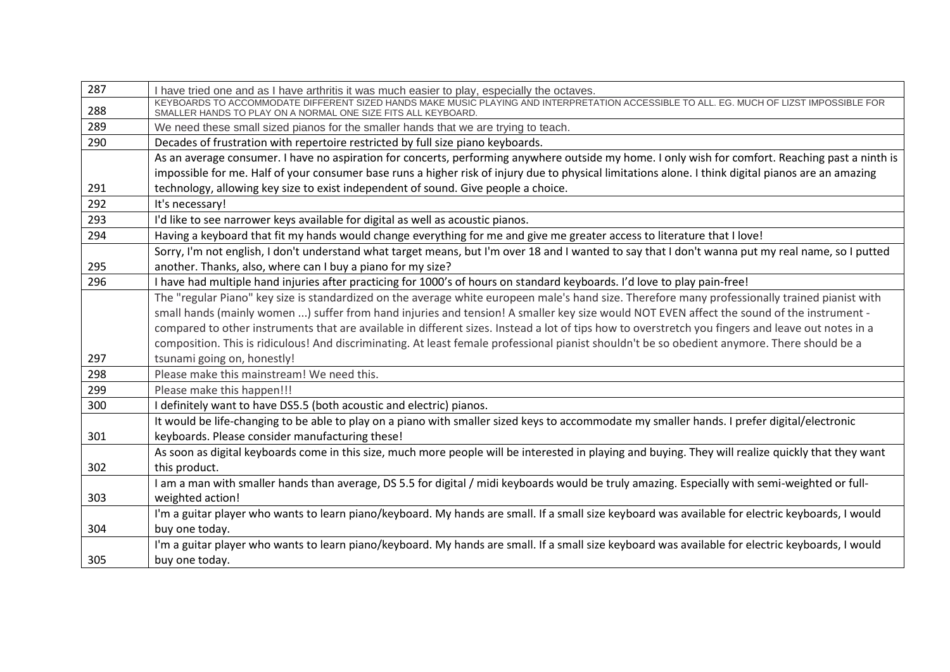| 287 | I have tried one and as I have arthritis it was much easier to play, especially the octaves.                                                                                                              |  |  |  |  |  |  |
|-----|-----------------------------------------------------------------------------------------------------------------------------------------------------------------------------------------------------------|--|--|--|--|--|--|
| 288 | KEYBOARDS TO ACCOMMODATE DIFFERENT SIZED HANDS MAKE MUSIC PLAYING AND INTERPRETATION ACCESSIBLE TO ALL. EG. MUCH OF LIZST IMPOSSIBLE FOR<br>SMALLER HANDS TO PLAY ON A NORMAL ONE SIZE FITS ALL KEYBOARD. |  |  |  |  |  |  |
| 289 | We need these small sized pianos for the smaller hands that we are trying to teach.                                                                                                                       |  |  |  |  |  |  |
| 290 | Decades of frustration with repertoire restricted by full size piano keyboards.                                                                                                                           |  |  |  |  |  |  |
|     | As an average consumer. I have no aspiration for concerts, performing anywhere outside my home. I only wish for comfort. Reaching past a ninth is                                                         |  |  |  |  |  |  |
|     | impossible for me. Half of your consumer base runs a higher risk of injury due to physical limitations alone. I think digital pianos are an amazing                                                       |  |  |  |  |  |  |
| 291 | technology, allowing key size to exist independent of sound. Give people a choice.                                                                                                                        |  |  |  |  |  |  |
| 292 | It's necessary!                                                                                                                                                                                           |  |  |  |  |  |  |
| 293 | I'd like to see narrower keys available for digital as well as acoustic pianos.                                                                                                                           |  |  |  |  |  |  |
| 294 | Having a keyboard that fit my hands would change everything for me and give me greater access to literature that I love!                                                                                  |  |  |  |  |  |  |
|     | Sorry, I'm not english, I don't understand what target means, but I'm over 18 and I wanted to say that I don't wanna put my real name, so I putted                                                        |  |  |  |  |  |  |
| 295 | another. Thanks, also, where can I buy a piano for my size?                                                                                                                                               |  |  |  |  |  |  |
| 296 | I have had multiple hand injuries after practicing for 1000's of hours on standard keyboards. I'd love to play pain-free!                                                                                 |  |  |  |  |  |  |
|     | The "regular Piano" key size is standardized on the average white europeen male's hand size. Therefore many professionally trained pianist with                                                           |  |  |  |  |  |  |
|     | small hands (mainly women ) suffer from hand injuries and tension! A smaller key size would NOT EVEN affect the sound of the instrument -                                                                 |  |  |  |  |  |  |
|     | compared to other instruments that are available in different sizes. Instead a lot of tips how to overstretch you fingers and leave out notes in a                                                        |  |  |  |  |  |  |
|     | composition. This is ridiculous! And discriminating. At least female professional pianist shouldn't be so obedient anymore. There should be a                                                             |  |  |  |  |  |  |
| 297 | tsunami going on, honestly!                                                                                                                                                                               |  |  |  |  |  |  |
| 298 | Please make this mainstream! We need this.                                                                                                                                                                |  |  |  |  |  |  |
| 299 | Please make this happen!!!                                                                                                                                                                                |  |  |  |  |  |  |
| 300 | I definitely want to have DS5.5 (both acoustic and electric) pianos.                                                                                                                                      |  |  |  |  |  |  |
|     | It would be life-changing to be able to play on a piano with smaller sized keys to accommodate my smaller hands. I prefer digital/electronic                                                              |  |  |  |  |  |  |
| 301 | keyboards. Please consider manufacturing these!                                                                                                                                                           |  |  |  |  |  |  |
|     | As soon as digital keyboards come in this size, much more people will be interested in playing and buying. They will realize quickly that they want                                                       |  |  |  |  |  |  |
| 302 | this product.                                                                                                                                                                                             |  |  |  |  |  |  |
|     | I am a man with smaller hands than average, DS 5.5 for digital / midi keyboards would be truly amazing. Especially with semi-weighted or full-                                                            |  |  |  |  |  |  |
| 303 | weighted action!                                                                                                                                                                                          |  |  |  |  |  |  |
|     | I'm a guitar player who wants to learn piano/keyboard. My hands are small. If a small size keyboard was available for electric keyboards, I would                                                         |  |  |  |  |  |  |
| 304 | buy one today.                                                                                                                                                                                            |  |  |  |  |  |  |
|     | I'm a guitar player who wants to learn piano/keyboard. My hands are small. If a small size keyboard was available for electric keyboards, I would                                                         |  |  |  |  |  |  |
| 305 | buy one today.                                                                                                                                                                                            |  |  |  |  |  |  |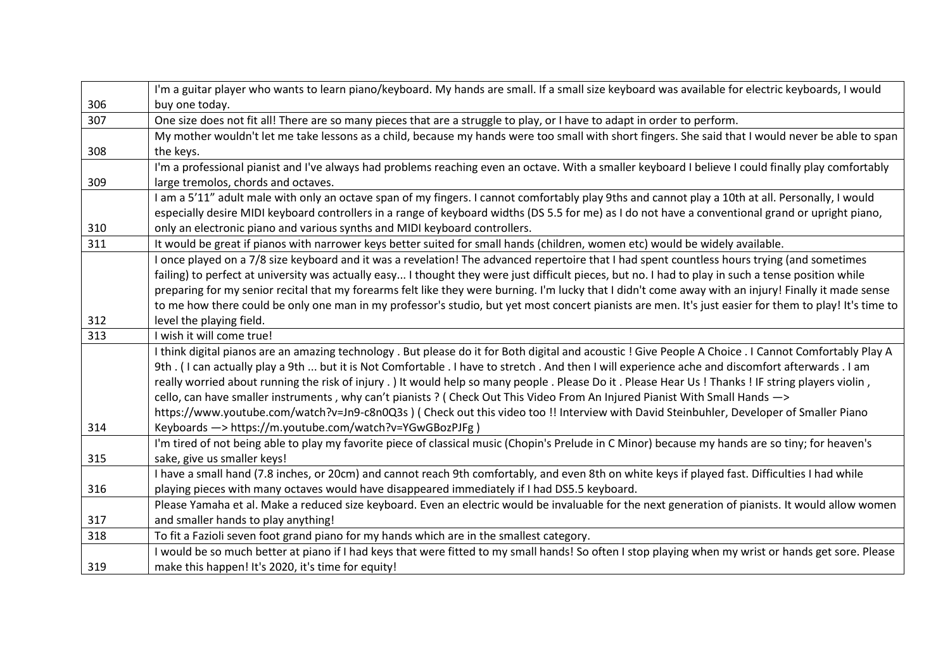|     | I'm a guitar player who wants to learn piano/keyboard. My hands are small. If a small size keyboard was available for electric keyboards, I would      |  |  |  |  |  |
|-----|--------------------------------------------------------------------------------------------------------------------------------------------------------|--|--|--|--|--|
| 306 | buy one today.                                                                                                                                         |  |  |  |  |  |
| 307 | One size does not fit all! There are so many pieces that are a struggle to play, or I have to adapt in order to perform.                               |  |  |  |  |  |
|     | My mother wouldn't let me take lessons as a child, because my hands were too small with short fingers. She said that I would never be able to span     |  |  |  |  |  |
| 308 | the keys.                                                                                                                                              |  |  |  |  |  |
|     | I'm a professional pianist and I've always had problems reaching even an octave. With a smaller keyboard I believe I could finally play comfortably    |  |  |  |  |  |
| 309 | large tremolos, chords and octaves.                                                                                                                    |  |  |  |  |  |
|     | I am a 5'11" adult male with only an octave span of my fingers. I cannot comfortably play 9ths and cannot play a 10th at all. Personally, I would      |  |  |  |  |  |
|     | especially desire MIDI keyboard controllers in a range of keyboard widths (DS 5.5 for me) as I do not have a conventional grand or upright piano,      |  |  |  |  |  |
| 310 | only an electronic piano and various synths and MIDI keyboard controllers.                                                                             |  |  |  |  |  |
| 311 | It would be great if pianos with narrower keys better suited for small hands (children, women etc) would be widely available.                          |  |  |  |  |  |
|     | I once played on a 7/8 size keyboard and it was a revelation! The advanced repertoire that I had spent countless hours trying (and sometimes           |  |  |  |  |  |
|     | failing) to perfect at university was actually easy I thought they were just difficult pieces, but no. I had to play in such a tense position while    |  |  |  |  |  |
|     | preparing for my senior recital that my forearms felt like they were burning. I'm lucky that I didn't come away with an injury! Finally it made sense  |  |  |  |  |  |
|     | to me how there could be only one man in my professor's studio, but yet most concert pianists are men. It's just easier for them to play! It's time to |  |  |  |  |  |
| 312 | level the playing field.                                                                                                                               |  |  |  |  |  |
| 313 | I wish it will come true!                                                                                                                              |  |  |  |  |  |
|     | I think digital pianos are an amazing technology. But please do it for Both digital and acoustic! Give People A Choice. I Cannot Comfortably Play A    |  |  |  |  |  |
|     | 9th. (I can actually play a 9th  but it is Not Comfortable. I have to stretch. And then I will experience ache and discomfort afterwards. I am         |  |  |  |  |  |
|     | really worried about running the risk of injury.) It would help so many people. Please Do it. Please Hear Us! Thanks! IF string players violin,        |  |  |  |  |  |
|     | cello, can have smaller instruments, why can't pianists? (Check Out This Video From An Injured Pianist With Small Hands ->                             |  |  |  |  |  |
|     | https://www.youtube.com/watch?v=Jn9-c8n0Q3s) (Check out this video too !! Interview with David Steinbuhler, Developer of Smaller Piano                 |  |  |  |  |  |
| 314 | Keyboards -> https://m.youtube.com/watch?v=YGwGBozPJFg)                                                                                                |  |  |  |  |  |
|     | I'm tired of not being able to play my favorite piece of classical music (Chopin's Prelude in C Minor) because my hands are so tiny; for heaven's      |  |  |  |  |  |
| 315 | sake, give us smaller keys!                                                                                                                            |  |  |  |  |  |
|     | I have a small hand (7.8 inches, or 20cm) and cannot reach 9th comfortably, and even 8th on white keys if played fast. Difficulties I had while        |  |  |  |  |  |
| 316 | playing pieces with many octaves would have disappeared immediately if I had DS5.5 keyboard.                                                           |  |  |  |  |  |
|     | Please Yamaha et al. Make a reduced size keyboard. Even an electric would be invaluable for the next generation of pianists. It would allow women      |  |  |  |  |  |
| 317 | and smaller hands to play anything!                                                                                                                    |  |  |  |  |  |
| 318 | To fit a Fazioli seven foot grand piano for my hands which are in the smallest category.                                                               |  |  |  |  |  |
|     | I would be so much better at piano if I had keys that were fitted to my small hands! So often I stop playing when my wrist or hands get sore. Please   |  |  |  |  |  |
| 319 | make this happen! It's 2020, it's time for equity!                                                                                                     |  |  |  |  |  |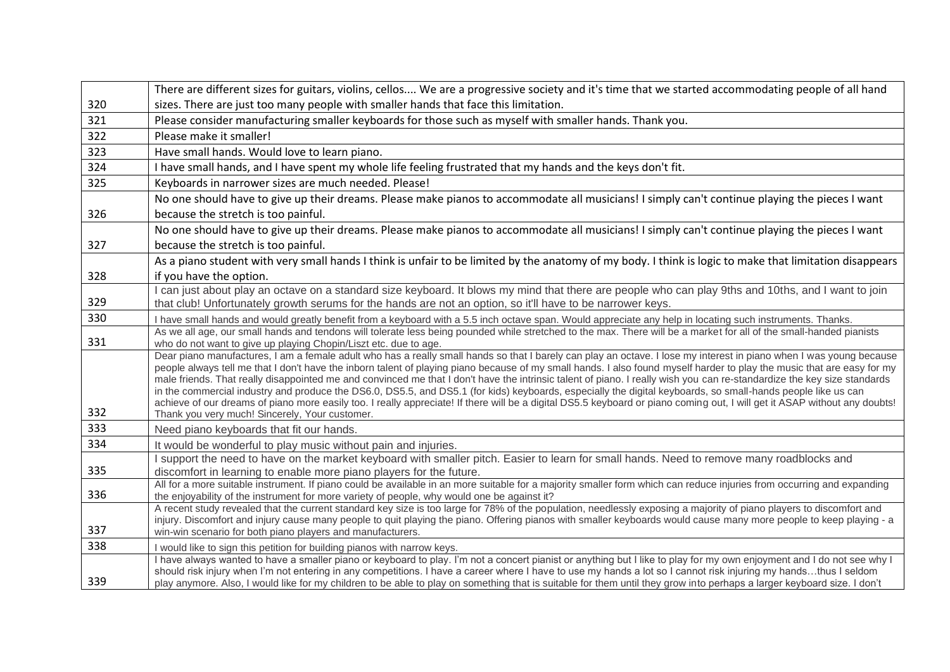|     | There are different sizes for guitars, violins, cellos We are a progressive society and it's time that we started accommodating people of all hand                                                                                                                                                                                      |  |  |  |  |  |
|-----|-----------------------------------------------------------------------------------------------------------------------------------------------------------------------------------------------------------------------------------------------------------------------------------------------------------------------------------------|--|--|--|--|--|
| 320 | sizes. There are just too many people with smaller hands that face this limitation.                                                                                                                                                                                                                                                     |  |  |  |  |  |
| 321 | Please consider manufacturing smaller keyboards for those such as myself with smaller hands. Thank you.                                                                                                                                                                                                                                 |  |  |  |  |  |
| 322 | Please make it smaller!                                                                                                                                                                                                                                                                                                                 |  |  |  |  |  |
| 323 | Have small hands. Would love to learn piano.                                                                                                                                                                                                                                                                                            |  |  |  |  |  |
| 324 | I have small hands, and I have spent my whole life feeling frustrated that my hands and the keys don't fit.                                                                                                                                                                                                                             |  |  |  |  |  |
| 325 | Keyboards in narrower sizes are much needed. Please!                                                                                                                                                                                                                                                                                    |  |  |  |  |  |
|     | No one should have to give up their dreams. Please make pianos to accommodate all musicians! I simply can't continue playing the pieces I want                                                                                                                                                                                          |  |  |  |  |  |
| 326 | because the stretch is too painful.                                                                                                                                                                                                                                                                                                     |  |  |  |  |  |
|     | No one should have to give up their dreams. Please make pianos to accommodate all musicians! I simply can't continue playing the pieces I want                                                                                                                                                                                          |  |  |  |  |  |
| 327 | because the stretch is too painful.                                                                                                                                                                                                                                                                                                     |  |  |  |  |  |
|     | As a piano student with very small hands I think is unfair to be limited by the anatomy of my body. I think is logic to make that limitation disappears                                                                                                                                                                                 |  |  |  |  |  |
| 328 | if you have the option.                                                                                                                                                                                                                                                                                                                 |  |  |  |  |  |
|     | I can just about play an octave on a standard size keyboard. It blows my mind that there are people who can play 9ths and 10ths, and I want to join                                                                                                                                                                                     |  |  |  |  |  |
| 329 | that club! Unfortunately growth serums for the hands are not an option, so it'll have to be narrower keys.                                                                                                                                                                                                                              |  |  |  |  |  |
| 330 | I have small hands and would greatly benefit from a keyboard with a 5.5 inch octave span. Would appreciate any help in locating such instruments. Thanks.                                                                                                                                                                               |  |  |  |  |  |
| 331 | As we all age, our small hands and tendons will tolerate less being pounded while stretched to the max. There will be a market for all of the small-handed pianists<br>who do not want to give up playing Chopin/Liszt etc. due to age.                                                                                                 |  |  |  |  |  |
|     | Dear piano manufactures, I am a female adult who has a really small hands so that I barely can play an octave. I lose my interest in piano when I was young because                                                                                                                                                                     |  |  |  |  |  |
|     | people always tell me that I don't have the inborn talent of playing piano because of my small hands. I also found myself harder to play the music that are easy for my                                                                                                                                                                 |  |  |  |  |  |
|     | male friends. That really disappointed me and convinced me that I don't have the intrinsic talent of piano. I really wish you can re-standardize the key size standards<br>in the commercial industry and produce the DS6.0, DS5.5, and DS5.1 (for kids) keyboards, especially the digital keyboards, so small-hands people like us can |  |  |  |  |  |
|     | achieve of our dreams of piano more easily too. I really appreciate! If there will be a digital DS5.5 keyboard or piano coming out, I will get it ASAP without any doubts!                                                                                                                                                              |  |  |  |  |  |
| 332 | Thank you very much! Sincerely, Your customer.                                                                                                                                                                                                                                                                                          |  |  |  |  |  |
| 333 | Need piano keyboards that fit our hands.                                                                                                                                                                                                                                                                                                |  |  |  |  |  |
| 334 | It would be wonderful to play music without pain and injuries.                                                                                                                                                                                                                                                                          |  |  |  |  |  |
| 335 | I support the need to have on the market keyboard with smaller pitch. Easier to learn for small hands. Need to remove many roadblocks and                                                                                                                                                                                               |  |  |  |  |  |
|     | discomfort in learning to enable more piano players for the future.<br>All for a more suitable instrument. If piano could be available in an more suitable for a majority smaller form which can reduce injuries from occurring and expanding                                                                                           |  |  |  |  |  |
| 336 | the enjoyability of the instrument for more variety of people, why would one be against it?                                                                                                                                                                                                                                             |  |  |  |  |  |
|     | A recent study revealed that the current standard key size is too large for 78% of the population, needlessly exposing a majority of piano players to discomfort and                                                                                                                                                                    |  |  |  |  |  |
| 337 | injury. Discomfort and injury cause many people to quit playing the piano. Offering pianos with smaller keyboards would cause many more people to keep playing - a<br>win-win scenario for both piano players and manufacturers.                                                                                                        |  |  |  |  |  |
| 338 | I would like to sign this petition for building pianos with narrow keys.                                                                                                                                                                                                                                                                |  |  |  |  |  |
|     | I have always wanted to have a smaller piano or keyboard to play. I'm not a concert pianist or anything but I like to play for my own enjoyment and I do not see why I                                                                                                                                                                  |  |  |  |  |  |
|     | should risk injury when I'm not entering in any competitions. I have a career where I have to use my hands a lot so I cannot risk injuring my handsthus I seldom                                                                                                                                                                        |  |  |  |  |  |
| 339 | play anymore. Also, I would like for my children to be able to play on something that is suitable for them until they grow into perhaps a larger keyboard size. I don't                                                                                                                                                                 |  |  |  |  |  |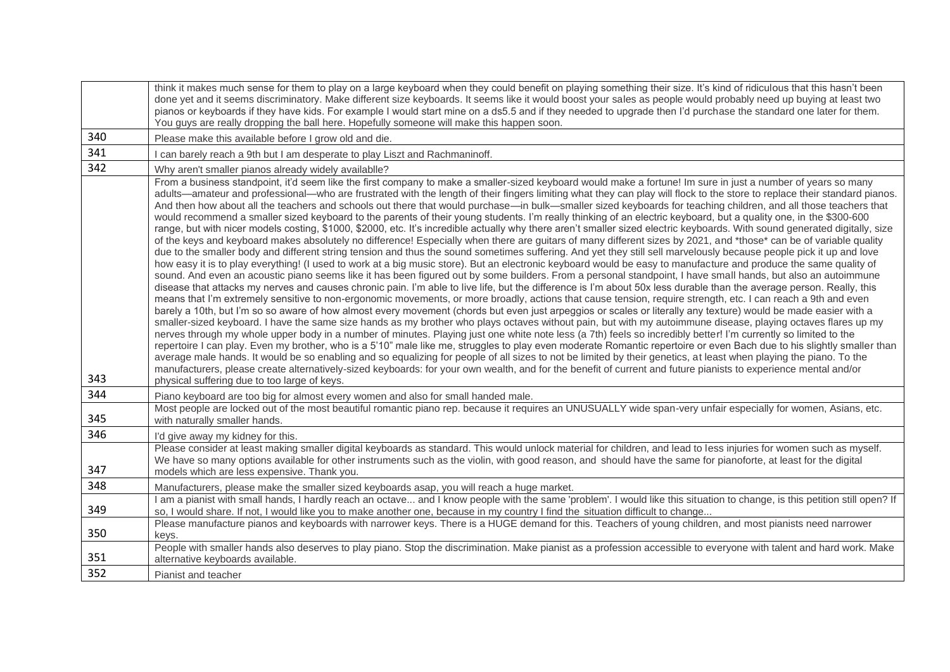|     | think it makes much sense for them to play on a large keyboard when they could benefit on playing something their size. It's kind of ridiculous that this hasn't been<br>done yet and it seems discriminatory. Make different size keyboards. It seems like it would boost your sales as people would probably need up buying at least two<br>pianos or keyboards if they have kids. For example I would start mine on a ds5.5 and if they needed to upgrade then I'd purchase the standard one later for them.<br>You guys are really dropping the ball here. Hopefully someone will make this happen soon.                                                                                                                                                                                                                                                                                                                                                                                                                                                                                                                                                                                                                                                                                                                                                                                                                                                                                                                                                                                                                                                                                                                                                                                                                                                                                                                                                                                                                                                                                                                                                                                                                                                                                                                                                                                                                                                                                                                                                                                                                                                                                                                                                                                                                                                                                                              |  |  |  |  |
|-----|---------------------------------------------------------------------------------------------------------------------------------------------------------------------------------------------------------------------------------------------------------------------------------------------------------------------------------------------------------------------------------------------------------------------------------------------------------------------------------------------------------------------------------------------------------------------------------------------------------------------------------------------------------------------------------------------------------------------------------------------------------------------------------------------------------------------------------------------------------------------------------------------------------------------------------------------------------------------------------------------------------------------------------------------------------------------------------------------------------------------------------------------------------------------------------------------------------------------------------------------------------------------------------------------------------------------------------------------------------------------------------------------------------------------------------------------------------------------------------------------------------------------------------------------------------------------------------------------------------------------------------------------------------------------------------------------------------------------------------------------------------------------------------------------------------------------------------------------------------------------------------------------------------------------------------------------------------------------------------------------------------------------------------------------------------------------------------------------------------------------------------------------------------------------------------------------------------------------------------------------------------------------------------------------------------------------------------------------------------------------------------------------------------------------------------------------------------------------------------------------------------------------------------------------------------------------------------------------------------------------------------------------------------------------------------------------------------------------------------------------------------------------------------------------------------------------------------------------------------------------------------------------------------------------------|--|--|--|--|
| 340 | Please make this available before I grow old and die.                                                                                                                                                                                                                                                                                                                                                                                                                                                                                                                                                                                                                                                                                                                                                                                                                                                                                                                                                                                                                                                                                                                                                                                                                                                                                                                                                                                                                                                                                                                                                                                                                                                                                                                                                                                                                                                                                                                                                                                                                                                                                                                                                                                                                                                                                                                                                                                                                                                                                                                                                                                                                                                                                                                                                                                                                                                                     |  |  |  |  |
| 341 | can barely reach a 9th but I am desperate to play Liszt and Rachmaninoff.                                                                                                                                                                                                                                                                                                                                                                                                                                                                                                                                                                                                                                                                                                                                                                                                                                                                                                                                                                                                                                                                                                                                                                                                                                                                                                                                                                                                                                                                                                                                                                                                                                                                                                                                                                                                                                                                                                                                                                                                                                                                                                                                                                                                                                                                                                                                                                                                                                                                                                                                                                                                                                                                                                                                                                                                                                                 |  |  |  |  |
| 342 | Why aren't smaller pianos already widely availablle?                                                                                                                                                                                                                                                                                                                                                                                                                                                                                                                                                                                                                                                                                                                                                                                                                                                                                                                                                                                                                                                                                                                                                                                                                                                                                                                                                                                                                                                                                                                                                                                                                                                                                                                                                                                                                                                                                                                                                                                                                                                                                                                                                                                                                                                                                                                                                                                                                                                                                                                                                                                                                                                                                                                                                                                                                                                                      |  |  |  |  |
| 343 | From a business standpoint, it'd seem like the first company to make a smaller-sized keyboard would make a fortune! Im sure in just a number of years so many<br>adults—amateur and professional—who are frustrated with the length of their fingers limiting what they can play will flock to the store to replace their standard pianos.<br>And then how about all the teachers and schools out there that would purchase—in bulk—smaller sized keyboards for teaching children, and all those teachers that<br>would recommend a smaller sized keyboard to the parents of their young students. I'm really thinking of an electric keyboard, but a quality one, in the \$300-600<br>range, but with nicer models costing, \$1000, \$2000, etc. It's incredible actually why there aren't smaller sized electric keyboards. With sound generated digitally, size<br>of the keys and keyboard makes absolutely no difference! Especially when there are guitars of many different sizes by 2021, and *those* can be of variable quality<br>due to the smaller body and different string tension and thus the sound sometimes suffering. And yet they still sell marvelously because people pick it up and love<br>how easy it is to play everything! (I used to work at a big music store). But an electronic keyboard would be easy to manufacture and produce the same quality of<br>sound. And even an acoustic piano seems like it has been figured out by some builders. From a personal standpoint, I have small hands, but also an autoimmune<br>disease that attacks my nerves and causes chronic pain. I'm able to live life, but the difference is I'm about 50x less durable than the average person. Really, this<br>means that I'm extremely sensitive to non-ergonomic movements, or more broadly, actions that cause tension, require strength, etc. I can reach a 9th and even<br>barely a 10th, but I'm so so aware of how almost every movement (chords but even just arpeggios or scales or literally any texture) would be made easier with a<br>smaller-sized keyboard. I have the same size hands as my brother who plays octaves without pain, but with my autoimmune disease, playing octaves flares up my<br>nerves through my whole upper body in a number of minutes. Playing just one white note less (a 7th) feels so incredibly better! I'm currently so limited to the<br>repertoire I can play. Even my brother, who is a 5'10" male like me, struggles to play even moderate Romantic repertoire or even Bach due to his slightly smaller than<br>average male hands. It would be so enabling and so equalizing for people of all sizes to not be limited by their genetics, at least when playing the piano. To the<br>manufacturers, please create alternatively-sized keyboards: for your own wealth, and for the benefit of current and future pianists to experience mental and/or |  |  |  |  |
| 344 | physical suffering due to too large of keys.<br>Piano keyboard are too big for almost every women and also for small handed male.                                                                                                                                                                                                                                                                                                                                                                                                                                                                                                                                                                                                                                                                                                                                                                                                                                                                                                                                                                                                                                                                                                                                                                                                                                                                                                                                                                                                                                                                                                                                                                                                                                                                                                                                                                                                                                                                                                                                                                                                                                                                                                                                                                                                                                                                                                                                                                                                                                                                                                                                                                                                                                                                                                                                                                                         |  |  |  |  |
| 345 | Most people are locked out of the most beautiful romantic piano rep. because it requires an UNUSUALLY wide span-very unfair especially for women, Asians, etc.<br>with naturally smaller hands.                                                                                                                                                                                                                                                                                                                                                                                                                                                                                                                                                                                                                                                                                                                                                                                                                                                                                                                                                                                                                                                                                                                                                                                                                                                                                                                                                                                                                                                                                                                                                                                                                                                                                                                                                                                                                                                                                                                                                                                                                                                                                                                                                                                                                                                                                                                                                                                                                                                                                                                                                                                                                                                                                                                           |  |  |  |  |
| 346 | I'd give away my kidney for this.                                                                                                                                                                                                                                                                                                                                                                                                                                                                                                                                                                                                                                                                                                                                                                                                                                                                                                                                                                                                                                                                                                                                                                                                                                                                                                                                                                                                                                                                                                                                                                                                                                                                                                                                                                                                                                                                                                                                                                                                                                                                                                                                                                                                                                                                                                                                                                                                                                                                                                                                                                                                                                                                                                                                                                                                                                                                                         |  |  |  |  |
| 347 | Please consider at least making smaller digital keyboards as standard. This would unlock material for children, and lead to less injuries for women such as myself.<br>We have so many options available for other instruments such as the violin, with good reason, and should have the same for pianoforte, at least for the digital<br>models which are less expensive. Thank you.                                                                                                                                                                                                                                                                                                                                                                                                                                                                                                                                                                                                                                                                                                                                                                                                                                                                                                                                                                                                                                                                                                                                                                                                                                                                                                                                                                                                                                                                                                                                                                                                                                                                                                                                                                                                                                                                                                                                                                                                                                                                                                                                                                                                                                                                                                                                                                                                                                                                                                                                     |  |  |  |  |
| 348 | Manufacturers, please make the smaller sized keyboards asap, you will reach a huge market.                                                                                                                                                                                                                                                                                                                                                                                                                                                                                                                                                                                                                                                                                                                                                                                                                                                                                                                                                                                                                                                                                                                                                                                                                                                                                                                                                                                                                                                                                                                                                                                                                                                                                                                                                                                                                                                                                                                                                                                                                                                                                                                                                                                                                                                                                                                                                                                                                                                                                                                                                                                                                                                                                                                                                                                                                                |  |  |  |  |
| 349 | I am a pianist with small hands, I hardly reach an octave and I know people with the same 'problem'. I would like this situation to change, is this petition still open? If<br>so, I would share. If not, I would like you to make another one, because in my country I find the situation difficult to change                                                                                                                                                                                                                                                                                                                                                                                                                                                                                                                                                                                                                                                                                                                                                                                                                                                                                                                                                                                                                                                                                                                                                                                                                                                                                                                                                                                                                                                                                                                                                                                                                                                                                                                                                                                                                                                                                                                                                                                                                                                                                                                                                                                                                                                                                                                                                                                                                                                                                                                                                                                                            |  |  |  |  |
| 350 | Please manufacture pianos and keyboards with narrower keys. There is a HUGE demand for this. Teachers of young children, and most pianists need narrower<br>keys.                                                                                                                                                                                                                                                                                                                                                                                                                                                                                                                                                                                                                                                                                                                                                                                                                                                                                                                                                                                                                                                                                                                                                                                                                                                                                                                                                                                                                                                                                                                                                                                                                                                                                                                                                                                                                                                                                                                                                                                                                                                                                                                                                                                                                                                                                                                                                                                                                                                                                                                                                                                                                                                                                                                                                         |  |  |  |  |
| 351 | People with smaller hands also deserves to play piano. Stop the discrimination. Make pianist as a profession accessible to everyone with talent and hard work. Make<br>alternative keyboards available.                                                                                                                                                                                                                                                                                                                                                                                                                                                                                                                                                                                                                                                                                                                                                                                                                                                                                                                                                                                                                                                                                                                                                                                                                                                                                                                                                                                                                                                                                                                                                                                                                                                                                                                                                                                                                                                                                                                                                                                                                                                                                                                                                                                                                                                                                                                                                                                                                                                                                                                                                                                                                                                                                                                   |  |  |  |  |
| 352 | Pianist and teacher                                                                                                                                                                                                                                                                                                                                                                                                                                                                                                                                                                                                                                                                                                                                                                                                                                                                                                                                                                                                                                                                                                                                                                                                                                                                                                                                                                                                                                                                                                                                                                                                                                                                                                                                                                                                                                                                                                                                                                                                                                                                                                                                                                                                                                                                                                                                                                                                                                                                                                                                                                                                                                                                                                                                                                                                                                                                                                       |  |  |  |  |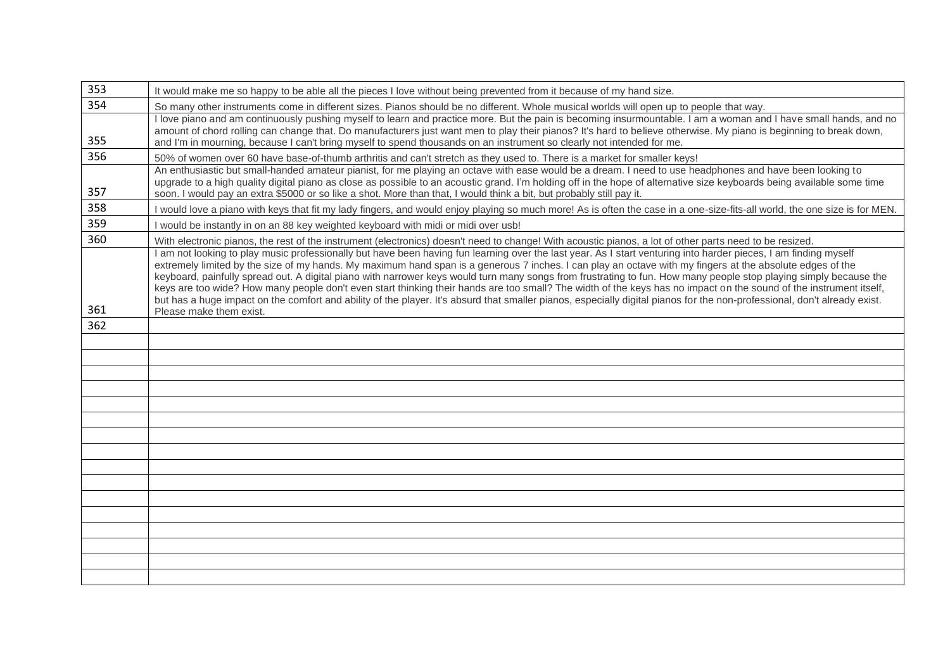| 353 | It would make me so happy to be able all the pieces I love without being prevented from it because of my hand size.                                                                                                                                                                                                           |  |  |  |  |  |
|-----|-------------------------------------------------------------------------------------------------------------------------------------------------------------------------------------------------------------------------------------------------------------------------------------------------------------------------------|--|--|--|--|--|
| 354 | So many other instruments come in different sizes. Pianos should be no different. Whole musical worlds will open up to people that way.                                                                                                                                                                                       |  |  |  |  |  |
|     | I love piano and am continuously pushing myself to learn and practice more. But the pain is becoming insurmountable. I am a woman and I have small hands, and no                                                                                                                                                              |  |  |  |  |  |
| 355 | amount of chord rolling can change that. Do manufacturers just want men to play their pianos? It's hard to believe otherwise. My piano is beginning to break down,<br>and I'm in mourning, because I can't bring myself to spend thousands on an instrument so clearly not intended for me.                                   |  |  |  |  |  |
| 356 | 50% of women over 60 have base-of-thumb arthritis and can't stretch as they used to. There is a market for smaller keys!                                                                                                                                                                                                      |  |  |  |  |  |
|     | An enthusiastic but small-handed amateur pianist, for me playing an octave with ease would be a dream. I need to use headphones and have been looking to                                                                                                                                                                      |  |  |  |  |  |
|     | upgrade to a high quality digital piano as close as possible to an acoustic grand. I'm holding off in the hope of alternative size keyboards being available some time                                                                                                                                                        |  |  |  |  |  |
| 357 | soon. I would pay an extra \$5000 or so like a shot. More than that, I would think a bit, but probably still pay it.                                                                                                                                                                                                          |  |  |  |  |  |
| 358 | I would love a piano with keys that fit my lady fingers, and would enjoy playing so much more! As is often the case in a one-size-fits-all world, the one size is for MEN.                                                                                                                                                    |  |  |  |  |  |
| 359 | I would be instantly in on an 88 key weighted keyboard with midi or midi over usb!                                                                                                                                                                                                                                            |  |  |  |  |  |
| 360 | With electronic pianos, the rest of the instrument (electronics) doesn't need to change! With acoustic pianos, a lot of other parts need to be resized.                                                                                                                                                                       |  |  |  |  |  |
|     | I am not looking to play music professionally but have been having fun learning over the last year. As I start venturing into harder pieces, I am finding myself<br>extremely limited by the size of my hands. My maximum hand span is a generous 7 inches. I can play an octave with my fingers at the absolute edges of the |  |  |  |  |  |
|     | keyboard, painfully spread out. A digital piano with narrower keys would turn many songs from frustrating to fun. How many people stop playing simply because the                                                                                                                                                             |  |  |  |  |  |
|     | keys are too wide? How many people don't even start thinking their hands are too small? The width of the keys has no impact on the sound of the instrument itself,                                                                                                                                                            |  |  |  |  |  |
| 361 | but has a huge impact on the comfort and ability of the player. It's absurd that smaller pianos, especially digital pianos for the non-professional, don't already exist.                                                                                                                                                     |  |  |  |  |  |
| 362 | Please make them exist.                                                                                                                                                                                                                                                                                                       |  |  |  |  |  |
|     |                                                                                                                                                                                                                                                                                                                               |  |  |  |  |  |
|     |                                                                                                                                                                                                                                                                                                                               |  |  |  |  |  |
|     |                                                                                                                                                                                                                                                                                                                               |  |  |  |  |  |
|     |                                                                                                                                                                                                                                                                                                                               |  |  |  |  |  |
|     |                                                                                                                                                                                                                                                                                                                               |  |  |  |  |  |
|     |                                                                                                                                                                                                                                                                                                                               |  |  |  |  |  |
|     |                                                                                                                                                                                                                                                                                                                               |  |  |  |  |  |
|     |                                                                                                                                                                                                                                                                                                                               |  |  |  |  |  |
|     |                                                                                                                                                                                                                                                                                                                               |  |  |  |  |  |
|     |                                                                                                                                                                                                                                                                                                                               |  |  |  |  |  |
|     |                                                                                                                                                                                                                                                                                                                               |  |  |  |  |  |
|     |                                                                                                                                                                                                                                                                                                                               |  |  |  |  |  |
|     |                                                                                                                                                                                                                                                                                                                               |  |  |  |  |  |
|     |                                                                                                                                                                                                                                                                                                                               |  |  |  |  |  |
|     |                                                                                                                                                                                                                                                                                                                               |  |  |  |  |  |
|     |                                                                                                                                                                                                                                                                                                                               |  |  |  |  |  |
|     |                                                                                                                                                                                                                                                                                                                               |  |  |  |  |  |